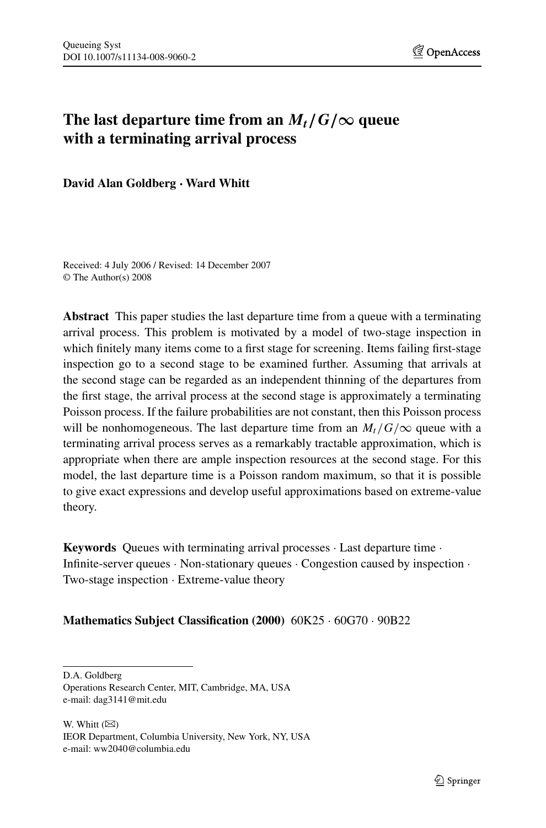# The last departure time from an  $M_t/G/\infty$  queue **with a terminating arrival process**

**David Alan Goldberg · Ward Whitt**

Received: 4 July 2006 / Revised: 14 December 2007 © The Author(s) 2008

**Abstract** This paper studies the last departure time from a queue with a terminating arrival process. This problem is motivated by a model of two-stage inspection in which finitely many items come to a first stage for screening. Items failing first-stage inspection go to a second stage to be examined further. Assuming that arrivals at the second stage can be regarded as an independent thinning of the departures from the first stage, the arrival process at the second stage is approximately a terminating Poisson process. If the failure probabilities are not constant, then this Poisson process will be nonhomogeneous. The last departure time from an  $M_t/G/\infty$  queue with a terminating arrival process serves as a remarkably tractable approximation, which is appropriate when there are ample inspection resources at the second stage. For this model, the last departure time is a Poisson random maximum, so that it is possible to give exact expressions and develop useful approximations based on extreme-value theory.

**Keywords** Queues with terminating arrival processes · Last departure time · Infinite-server queues  $\cdot$  Non-stationary queues  $\cdot$  Congestion caused by inspection  $\cdot$ Two-stage inspection · Extreme-value theory

**Mathematics Subject Classification (2000)** 60K25 · 60G70 · 90B22

D.A. Goldberg

W. Whitt  $(\boxtimes)$ IEOR Department, Columbia University, New York, NY, USA e-mail: ww2040@columbia.edu

Operations Research Center, MIT, Cambridge, MA, USA e-mail: dag3141@mit.edu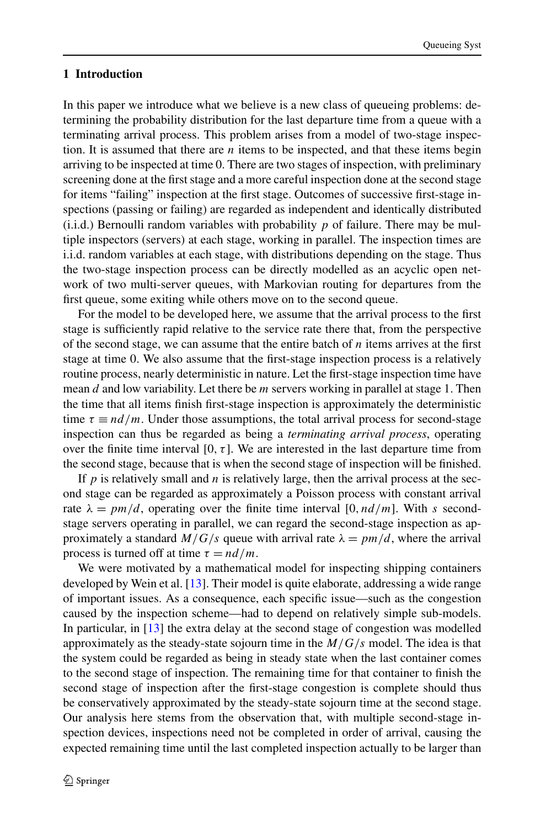## **1 Introduction**

In this paper we introduce what we believe is a new class of queueing problems: determining the probability distribution for the last departure time from a queue with a terminating arrival process. This problem arises from a model of two-stage inspection. It is assumed that there are *n* items to be inspected, and that these items begin arriving to be inspected at time 0. There are two stages of inspection, with preliminary screening done at the first stage and a more careful inspection done at the second stage for items "failing" inspection at the first stage. Outcomes of successive first-stage inspections (passing or failing) are regarded as independent and identically distributed (i.i.d.) Bernoulli random variables with probability *p* of failure. There may be multiple inspectors (servers) at each stage, working in parallel. The inspection times are i.i.d. random variables at each stage, with distributions depending on the stage. Thus the two-stage inspection process can be directly modelled as an acyclic open network of two multi-server queues, with Markovian routing for departures from the first queue, some exiting while others move on to the second queue.

For the model to be developed here, we assume that the arrival process to the first stage is sufficiently rapid relative to the service rate there that, from the perspective of the second stage, we can assume that the entire batch of *n* items arrives at the first stage at time 0. We also assume that the first-stage inspection process is a relatively routine process, nearly deterministic in nature. Let the first-stage inspection time have mean *d* and low variability. Let there be *m* servers working in parallel at stage 1. Then the time that all items finish first-stage inspection is approximately the deterministic time  $\tau \equiv nd/m$ . Under those assumptions, the total arrival process for second-stage inspection can thus be regarded as being a *terminating arrival process*, operating over the finite time interval [0,  $\tau$ ]. We are interested in the last departure time from the second stage, because that is when the second stage of inspection will be finished.

If  $p$  is relatively small and  $n$  is relatively large, then the arrival process at the second stage can be regarded as approximately a Poisson process with constant arrival rate  $\lambda = pm/d$ , operating over the finite time interval [0, nd/m]. With *s* secondstage servers operating in parallel, we can regard the second-stage inspection as approximately a standard  $M/G/s$  queue with arrival rate  $\lambda = pm/d$ , where the arrival process is turned off at time  $\tau = nd/m$ .

We were motivated by a mathematical model for inspecting shipping containers developed by Wein et al. [[13\]](#page-27-0). Their model is quite elaborate, addressing a wide range of important issues. As a consequence, each specific issue—such as the congestion caused by the inspection scheme—had to depend on relatively simple sub-models. In particular, in [[13\]](#page-27-0) the extra delay at the second stage of congestion was modelled approximately as the steady-state sojourn time in the *M/G/s* model. The idea is that the system could be regarded as being in steady state when the last container comes to the second stage of inspection. The remaining time for that container to finish the second stage of inspection after the first-stage congestion is complete should thus be conservatively approximated by the steady-state sojourn time at the second stage. Our analysis here stems from the observation that, with multiple second-stage inspection devices, inspections need not be completed in order of arrival, causing the expected remaining time until the last completed inspection actually to be larger than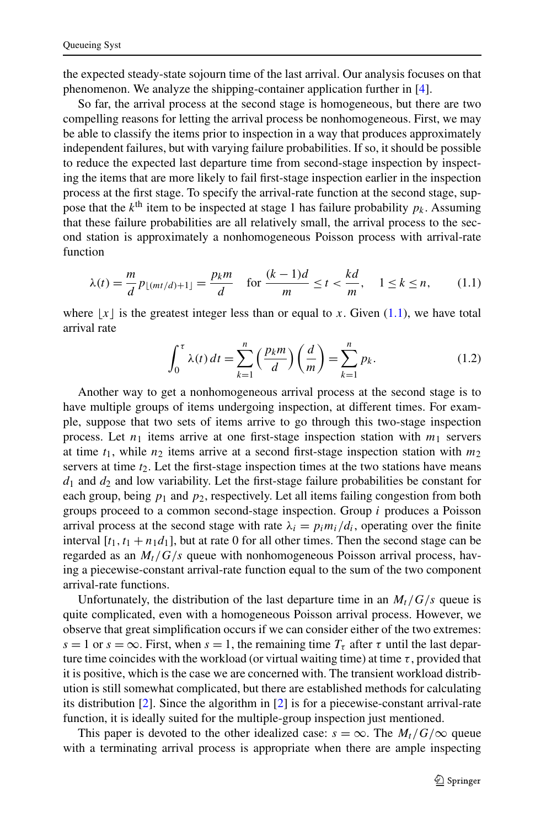the expected steady-state sojourn time of the last arrival. Our analysis focuses on that phenomenon. We analyze the shipping-container application further in [\[4](#page-27-0)].

So far, the arrival process at the second stage is homogeneous, but there are two compelling reasons for letting the arrival process be nonhomogeneous. First, we may be able to classify the items prior to inspection in a way that produces approximately independent failures, but with varying failure probabilities. If so, it should be possible to reduce the expected last departure time from second-stage inspection by inspecting the items that are more likely to fail first-stage inspection earlier in the inspection process at the first stage. To specify the arrival-rate function at the second stage, suppose that the  $k^{\text{th}}$  item to be inspected at stage 1 has failure probability  $p_k$ . Assuming that these failure probabilities are all relatively small, the arrival process to the second station is approximately a nonhomogeneous Poisson process with arrival-rate function

$$
\lambda(t) = \frac{m}{d} p_{\lfloor (mt/d) + 1 \rfloor} = \frac{p_k m}{d} \quad \text{for } \frac{(k-1)d}{m} \le t < \frac{kd}{m}, \quad 1 \le k \le n,\tag{1.1}
$$

where  $\lfloor x \rfloor$  is the greatest integer less than or equal to *x*. Given (1.1), we have total arrival rate

$$
\int_0^{\tau} \lambda(t) dt = \sum_{k=1}^n \left( \frac{p_k m}{d} \right) \left( \frac{d}{m} \right) = \sum_{k=1}^n p_k.
$$
 (1.2)

Another way to get a nonhomogeneous arrival process at the second stage is to have multiple groups of items undergoing inspection, at different times. For example, suppose that two sets of items arrive to go through this two-stage inspection process. Let  $n_1$  items arrive at one first-stage inspection station with  $m_1$  servers at time  $t_1$ , while  $n_2$  items arrive at a second first-stage inspection station with  $m_2$ servers at time  $t_2$ . Let the first-stage inspection times at the two stations have means  $d_1$  and  $d_2$  and low variability. Let the first-stage failure probabilities be constant for each group, being  $p_1$  and  $p_2$ , respectively. Let all items failing congestion from both groups proceed to a common second-stage inspection. Group *i* produces a Poisson arrival process at the second stage with rate  $\lambda_i = p_i m_i / d_i$ , operating over the finite interval  $[t_1, t_1 + n_1d_1]$ , but at rate 0 for all other times. Then the second stage can be regarded as an  $M_t/G/s$  queue with nonhomogeneous Poisson arrival process, having a piecewise-constant arrival-rate function equal to the sum of the two component arrival-rate functions.

Unfortunately, the distribution of the last departure time in an  $M_t/G/s$  queue is quite complicated, even with a homogeneous Poisson arrival process. However, we observe that great simplification occurs if we can consider either of the two extremes:  $s = 1$  or  $s = \infty$ . First, when  $s = 1$ , the remaining time  $T<sub>\tau</sub>$  after  $\tau$  until the last departure time coincides with the workload (or virtual waiting time) at time  $\tau$ , provided that it is positive, which is the case we are concerned with. The transient workload distribution is still somewhat complicated, but there are established methods for calculating its distribution [[2\]](#page-27-0). Since the algorithm in [\[2](#page-27-0)] is for a piecewise-constant arrival-rate function, it is ideally suited for the multiple-group inspection just mentioned.

This paper is devoted to the other idealized case:  $s = \infty$ . The  $M_t/G/\infty$  queue with a terminating arrival process is appropriate when there are ample inspecting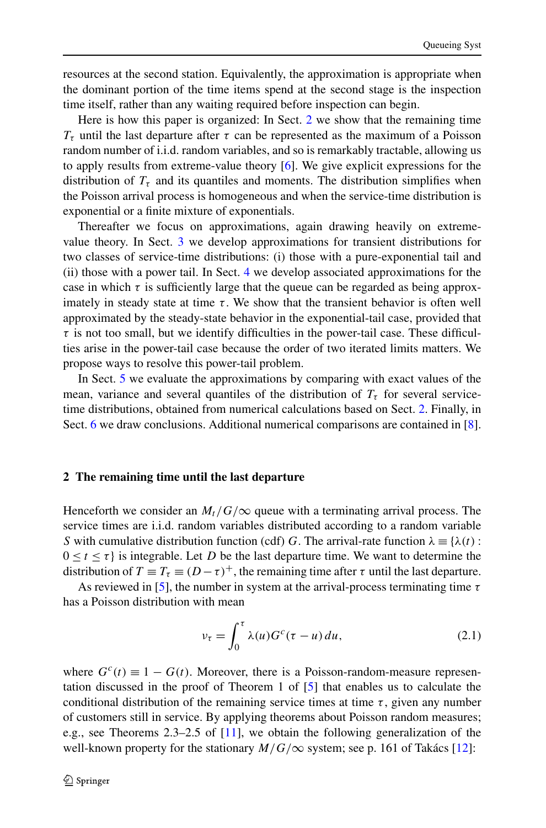<span id="page-3-0"></span>resources at the second station. Equivalently, the approximation is appropriate when the dominant portion of the time items spend at the second stage is the inspection time itself, rather than any waiting required before inspection can begin.

Here is how this paper is organized: In Sect. 2 we show that the remaining time *Tτ* until the last departure after *τ* can be represented as the maximum of a Poisson random number of i.i.d. random variables, and so is remarkably tractable, allowing us to apply results from extreme-value theory [\[6](#page-27-0)]. We give explicit expressions for the distribution of  $T<sub>\tau</sub>$  and its quantiles and moments. The distribution simplifies when the Poisson arrival process is homogeneous and when the service-time distribution is exponential or a finite mixture of exponentials.

Thereafter we focus on approximations, again drawing heavily on extremevalue theory. In Sect. [3](#page-6-0) we develop approximations for transient distributions for two classes of service-time distributions: (i) those with a pure-exponential tail and (ii) those with a power tail. In Sect. [4](#page-11-0) we develop associated approximations for the case in which  $\tau$  is sufficiently large that the queue can be regarded as being approximately in steady state at time  $\tau$ . We show that the transient behavior is often well approximated by the steady-state behavior in the exponential-tail case, provided that  $\tau$  is not too small, but we identify difficulties in the power-tail case. These difficulties arise in the power-tail case because the order of two iterated limits matters. We propose ways to resolve this power-tail problem.

In Sect. [5](#page-18-0) we evaluate the approximations by comparing with exact values of the mean, variance and several quantiles of the distribution of  $T<sub>\tau</sub>$  for several servicetime distributions, obtained from numerical calculations based on Sect. 2. Finally, in Sect. [6](#page-25-0) we draw conclusions. Additional numerical comparisons are contained in [[8\]](#page-27-0).

#### **2 The remaining time until the last departure**

Henceforth we consider an  $M_t/G/\infty$  queue with a terminating arrival process. The service times are i.i.d. random variables distributed according to a random variable *S* with cumulative distribution function (cdf) *G*. The arrival-rate function  $\lambda \equiv \{\lambda(t):$  $0 \le t \le \tau$  is integrable. Let *D* be the last departure time. We want to determine the distribution of  $T \equiv T_\tau \equiv (D - \tau)^+$ , the remaining time after  $\tau$  until the last departure.

As reviewed in [[5\]](#page-27-0), the number in system at the arrival-process terminating time *τ* has a Poisson distribution with mean

$$
\nu_{\tau} = \int_0^{\tau} \lambda(u) G^c(\tau - u) du, \qquad (2.1)
$$

where  $G<sup>c</sup>(t) \equiv 1 - G(t)$ . Moreover, there is a Poisson-random-measure representation discussed in the proof of Theorem 1 of [[5\]](#page-27-0) that enables us to calculate the conditional distribution of the remaining service times at time  $\tau$ , given any number of customers still in service. By applying theorems about Poisson random measures; e.g., see Theorems 2.3–2.5 of [[11\]](#page-27-0), we obtain the following generalization of the well-known property for the stationary  $M/G/\infty$  system; see p. 161 of Takács [\[12](#page-27-0)]: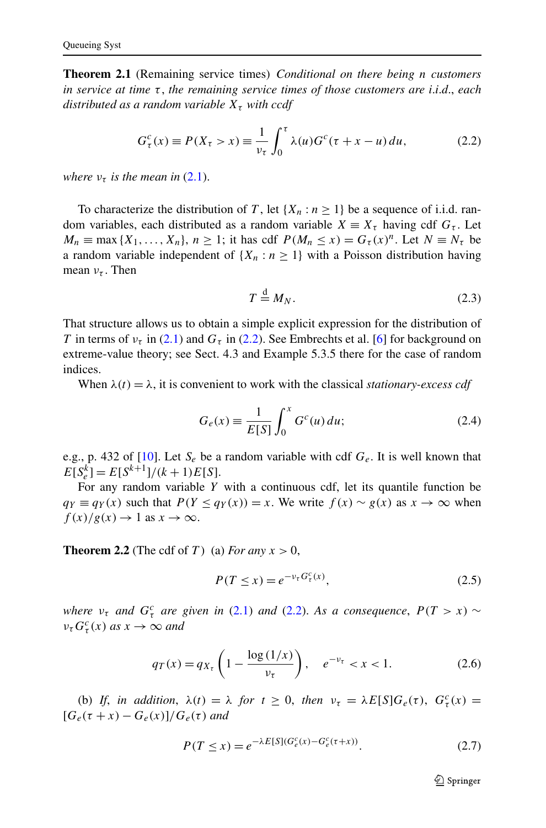<span id="page-4-0"></span>**Theorem 2.1** (Remaining service times) *Conditional on there being n customers in service at time τ* , *the remaining service times of those customers are i*.*i*.*d*., *each distributed as a random variable*  $X<sub>\tau</sub>$  *with ccdf* 

$$
G_{\tau}^{c}(x) \equiv P(X_{\tau} > x) \equiv \frac{1}{\nu_{\tau}} \int_{0}^{\tau} \lambda(u) G^{c}(\tau + x - u) du, \qquad (2.2)
$$

*where*  $v_{\tau}$  *is the mean in* ([2.1](#page-3-0)).

To characterize the distribution of *T*, let  $\{X_n : n \geq 1\}$  be a sequence of i.i.d. random variables, each distributed as a random variable  $X \equiv X_\tau$  having cdf  $G_\tau$ . Let  $M_n \equiv \max\{X_1, \ldots, X_n\}, n \geq 1$ ; it has cdf  $P(M_n \leq x) = G_\tau(x)^n$ . Let  $N \equiv N_\tau$  be a random variable independent of  $\{X_n : n \geq 1\}$  with a Poisson distribution having mean *ντ* . Then

$$
T \stackrel{\text{d}}{=} M_N. \tag{2.3}
$$

That structure allows us to obtain a simple explicit expression for the distribution of *T* in terms of  $v_\tau$  in ([2.1](#page-3-0)) and  $G_\tau$  in (2.2). See Embrechts et al. [\[6](#page-27-0)] for background on extreme-value theory; see Sect. 4.3 and Example 5.3.5 there for the case of random indices.

When  $\lambda(t) = \lambda$ , it is convenient to work with the classical *stationary-excess cdf* 

$$
G_e(x) \equiv \frac{1}{E[S]} \int_0^x G^c(u) \, du;\tag{2.4}
$$

e.g., p. 432 of [[10\]](#page-27-0). Let  $S_e$  be a random variable with cdf  $G_e$ . It is well known that  $E[S_e^k] = E[S^{k+1}]/(k+1)E[S].$ 

For any random variable *Y* with a continuous cdf, let its quantile function be *qy* ≡ *qy*(*x*) such that  $P(Y \le q_Y(x)) = x$ . We write  $f(x) \sim g(x)$  as  $x \to \infty$  when  $f(x)/g(x) \to 1$  as  $x \to \infty$ .

**Theorem 2.2** (The cdf of *T*) (a) *For any*  $x > 0$ ,

$$
P(T \le x) = e^{-\nu_{\tau} G_{\tau}^{c}(x)},
$$
\n(2.5)

*where*  $v_{\tau}$  *and*  $G_{\tau}^{c}$  *are given in* ([2.1](#page-3-0)) *and* (2.2). As a consequence,  $P(T > x) \sim$  $\nu_{\tau} G_{\tau}^{c}(x)$  *as*  $x \to \infty$  *and* 

$$
q_T(x) = q_{X_\tau} \left( 1 - \frac{\log(1/x)}{\nu_\tau} \right), \quad e^{-\nu_\tau} < x < 1. \tag{2.6}
$$

(b) *If*, *in addition*,  $\lambda(t) = \lambda$  *for*  $t \ge 0$ , *then*  $\nu_{\tau} = \lambda E[S]G_e(\tau)$ ,  $G_{\tau}^c(x) =$  $[G_e(\tau + x) - G_e(x)]/G_e(\tau)$  *and* 

$$
P(T \le x) = e^{-\lambda E[S](G_e^c(x) - G_e^c(\tau + x))}.
$$
\n(2.7)

 $\mathcal{D}$  Springer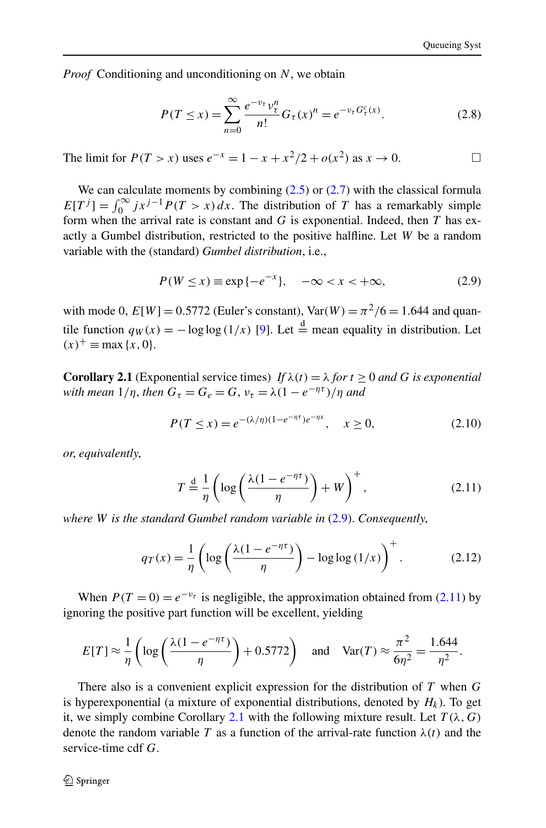<span id="page-5-0"></span>*Proof* Conditioning and unconditioning on *N*, we obtain

$$
P(T \le x) = \sum_{n=0}^{\infty} \frac{e^{-\nu_{\tau}} \nu_{\tau}^{n}}{n!} G_{\tau}(x)^{n} = e^{-\nu_{\tau} G_{\tau}^{c}(x)}.
$$
 (2.8)

The limit for *P*(*T* > *x*) uses  $e^{-x} = 1 - x + x^2/2 + o(x^2)$  as  $x \to 0$ .  $\Box$ 

We can calculate moments by combining  $(2.5)$  or  $(2.7)$  $(2.7)$  with the classical formula  $E[T^{j}] = \int_{0}^{\infty} jx^{j-1}P(T > x) dx$ . The distribution of *T* has a remarkably simple form when the arrival rate is constant and *G* is exponential. Indeed, then *T* has exactly a Gumbel distribution, restricted to the positive halfline. Let *W* be a random variable with the (standard) *Gumbel distribution*, i.e.,

$$
P(W \le x) \equiv \exp\{-e^{-x}\}, \quad -\infty < x < +\infty,\tag{2.9}
$$

with mode 0,  $E[W] = 0.5772$  (Euler's constant),  $Var(W) = \pi^2/6 = 1.644$  and quantile function  $q_W(x) = -\log \log (1/x)$  [\[9](#page-27-0)]. Let  $\stackrel{d}{=}$  mean equality in distribution. Let  $f(x)^{+} \equiv \max \{x, 0\}.$ 

**Corollary 2.1** (Exponential service times) *If*  $\lambda(t) = \lambda$  *for*  $t \ge 0$  *and G is exponential with mean*  $1/\eta$ , *then*  $G_{\tau} = G_e = G$ ,  $\nu_{\tau} = \lambda(1 - e^{-\eta \tau})/\eta$  *and* 

$$
P(T \le x) = e^{-(\lambda/\eta)(1 - e^{-\eta \tau})e^{-\eta x}}, \quad x \ge 0,
$$
\n(2.10)

*or*, *equivalently*,

$$
T \stackrel{\text{d}}{=} \frac{1}{\eta} \left( \log \left( \frac{\lambda (1 - e^{-\eta \tau})}{\eta} \right) + W \right)^+, \tag{2.11}
$$

*where W is the standard Gumbel random variable in* (2.9). *Consequently*,

$$
q_T(x) = \frac{1}{\eta} \left( \log \left( \frac{\lambda (1 - e^{-\eta \tau})}{\eta} \right) - \log \log \left( \frac{1}{x} \right) \right)^{+}.
$$
 (2.12)

When  $P(T = 0) = e^{-v_{\tau}}$  is negligible, the approximation obtained from (2.11) by ignoring the positive part function will be excellent, yielding

$$
E[T] \approx \frac{1}{\eta} \left( \log \left( \frac{\lambda (1 - e^{-\eta \tau})}{\eta} \right) + 0.5772 \right) \quad \text{and} \quad \text{Var}(T) \approx \frac{\pi^2}{6\eta^2} = \frac{1.644}{\eta^2}.
$$

There also is a convenient explicit expression for the distribution of *T* when *G* is hyperexponential (a mixture of exponential distributions, denoted by  $H_k$ ). To get it, we simply combine Corollary 2.1 with the following mixture result. Let  $T(\lambda, G)$ denote the random variable *T* as a function of the arrival-rate function  $\lambda(t)$  and the service-time cdf *G*.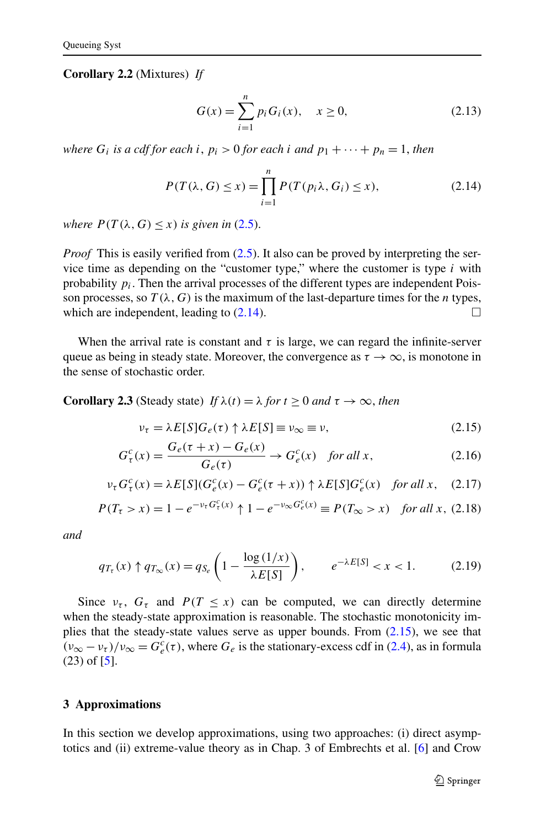<span id="page-6-0"></span>**Corollary 2.2** (Mixtures) *If*

$$
G(x) = \sum_{i=1}^{n} p_i G_i(x), \quad x \ge 0,
$$
\n(2.13)

*where*  $G_i$  *is a cdf for each i,*  $p_i > 0$  *for each i and*  $p_1 + \cdots + p_n = 1$ *, then* 

$$
P(T(\lambda, G) \le x) = \prod_{i=1}^{n} P(T(p_i \lambda, G_i) \le x),
$$
\n(2.14)

*where*  $P(T(\lambda, G) \leq x)$  *is given in* [\(2.5](#page-4-0)).

*Proof* This is easily verified from  $(2.5)$  $(2.5)$  $(2.5)$ . It also can be proved by interpreting the service time as depending on the "customer type," where the customer is type *i* with probability  $p_i$ . Then the arrival processes of the different types are independent Poisson processes, so  $T(\lambda, G)$  is the maximum of the last-departure times for the *n* types, which are independent, leading to  $(2.14)$ .

When the arrival rate is constant and  $\tau$  is large, we can regard the infinite-server queue as being in steady state. Moreover, the convergence as  $\tau \to \infty$ , is monotone in the sense of stochastic order.

**Corollary 2.3** (Steady state) *If*  $\lambda(t) = \lambda$  *for*  $t \ge 0$  *and*  $\tau \to \infty$ *, then* 

$$
\nu_{\tau} = \lambda E[S] G_e(\tau) \uparrow \lambda E[S] \equiv \nu_{\infty} \equiv \nu,
$$
\n(2.15)

$$
G_{\tau}^{c}(x) = \frac{G_{e}(\tau + x) - G_{e}(x)}{G_{e}(\tau)} \rightarrow G_{e}^{c}(x) \quad \text{for all } x,\tag{2.16}
$$

$$
\nu_{\tau} G_{\tau}^{c}(x) = \lambda E[S](G_{e}^{c}(x) - G_{e}^{c}(\tau + x)) \uparrow \lambda E[S]G_{e}^{c}(x) \quad \text{for all } x, \quad (2.17)
$$

$$
P(T_{\tau} > x) = 1 - e^{-\nu_{\tau} G_{\tau}^{c}(x)} \uparrow 1 - e^{-\nu_{\infty} G_{e}^{c}(x)} \equiv P(T_{\infty} > x) \text{ for all } x, (2.18)
$$

*and*

$$
q_{T_{\tau}}(x) \uparrow q_{T_{\infty}}(x) = q_{S_e} \left( 1 - \frac{\log\left(1/x\right)}{\lambda E[S]} \right), \qquad e^{-\lambda E[S]} < x < 1. \tag{2.19}
$$

Since  $v_{\tau}$ ,  $G_{\tau}$  and  $P(T \leq x)$  can be computed, we can directly determine when the steady-state approximation is reasonable. The stochastic monotonicity implies that the steady-state values serve as upper bounds. From  $(2.15)$ , we see that  $(v_{\infty} - v_{\tau})/v_{\infty} = G_e^c(\tau)$ , where  $G_e$  is the stationary-excess cdf in ([2.4](#page-4-0)), as in formula  $(23)$  of  $[5]$ .

# **3 Approximations**

In this section we develop approximations, using two approaches: (i) direct asymptotics and (ii) extreme-value theory as in Chap. 3 of Embrechts et al. [[6\]](#page-27-0) and Crow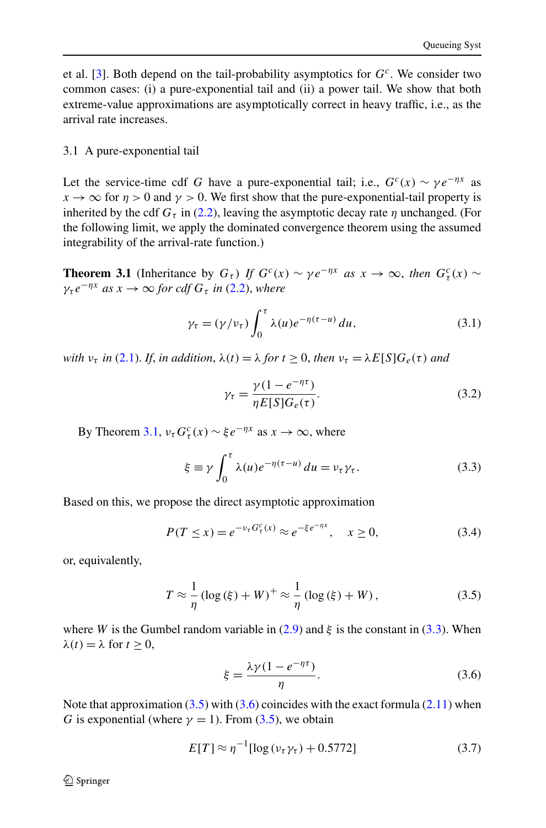<span id="page-7-0"></span>et al. [\[3](#page-27-0)]. Both depend on the tail-probability asymptotics for *Gc*. We consider two common cases: (i) a pure-exponential tail and (ii) a power tail. We show that both extreme-value approximations are asymptotically correct in heavy traffic, i.e., as the arrival rate increases.

## 3.1 A pure-exponential tail

Let the service-time cdf *G* have a pure-exponential tail; i.e.,  $G<sup>c</sup>(x) \sim \gamma e^{-\eta x}$  as  $x \to \infty$  for  $\eta > 0$  and  $\gamma > 0$ . We first show that the pure-exponential-tail property is inherited by the cdf  $G<sub>\tau</sub>$  in [\(2.2\)](#page-4-0), leaving the asymptotic decay rate  $\eta$  unchanged. (For the following limit, we apply the dominated convergence theorem using the assumed integrability of the arrival-rate function.)

**Theorem 3.1** (Inheritance by  $G_{\tau}$ ) *If*  $G^{c}(x) \sim \gamma e^{-\eta x}$  *as*  $x \to \infty$ , *then*  $G_{\tau}^{c}(x) \sim$  $\gamma_{\tau} e^{-\eta x}$  *as*  $x \to \infty$  *for cdf*  $G_{\tau}$  *in* [\(2.2\)](#page-4-0), *where* 

$$
\gamma_{\tau} = (\gamma/v_{\tau}) \int_0^{\tau} \lambda(u) e^{-\eta(\tau - u)} du,
$$
\n(3.1)

*with*  $v_{\tau}$  *in* [\(2.1\)](#page-3-0). *If, in addition,*  $\lambda(t) = \lambda$  *for*  $t \ge 0$ *, then*  $v_{\tau} = \lambda E[S]G_{e}(\tau)$  *and* 

$$
\gamma_{\tau} = \frac{\gamma (1 - e^{-\eta \tau})}{\eta E[S] G_e(\tau)}.
$$
\n(3.2)

By Theorem 3.1,  $v_\tau G_\tau^c(x) \sim \xi e^{-\eta x}$  as  $x \to \infty$ , where

$$
\xi \equiv \gamma \int_0^{\tau} \lambda(u)e^{-\eta(\tau - u)} du = v_{\tau} \gamma_{\tau}.
$$
 (3.3)

Based on this, we propose the direct asymptotic approximation

$$
P(T \le x) = e^{-\nu_{\tau} G_{\tau}^{c}(x)} \approx e^{-\xi e^{-\eta x}}, \quad x \ge 0,
$$
\n(3.4)

or, equivalently,

$$
T \approx \frac{1}{\eta} \left( \log(\xi) + W \right)^{+} \approx \frac{1}{\eta} \left( \log(\xi) + W \right),\tag{3.5}
$$

where *W* is the Gumbel random variable in [\(2.9\)](#page-5-0) and  $\xi$  is the constant in (3.3). When  $λ(t) = λ$  for  $t > 0$ ,

$$
\xi = \frac{\lambda \gamma (1 - e^{-\eta \tau})}{\eta}.
$$
\n(3.6)

Note that approximation  $(3.5)$  with  $(3.6)$  coincides with the exact formula  $(2.11)$  when *G* is exponential (where  $\gamma = 1$ ). From (3.5), we obtain

$$
E[T] \approx \eta^{-1} [\log(\nu_{\tau} \gamma_{\tau}) + 0.5772] \tag{3.7}
$$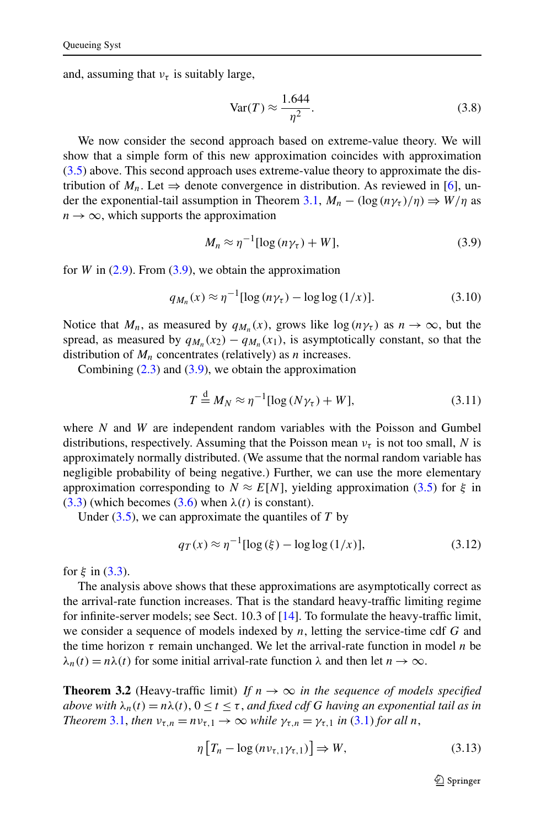<span id="page-8-0"></span>and, assuming that  $v<sub>\tau</sub>$  is suitably large,

$$
\text{Var}(T) \approx \frac{1.644}{\eta^2}.\tag{3.8}
$$

We now consider the second approach based on extreme-value theory. We will show that a simple form of this new approximation coincides with approximation [\(3.5\)](#page-7-0) above. This second approach uses extreme-value theory to approximate the distribution of  $M_n$ . Let  $\Rightarrow$  denote convergence in distribution. As reviewed in [\[6](#page-27-0)], un-der the exponential-tail assumption in Theorem [3.1,](#page-7-0)  $M_n - (\log (n\gamma_\tau)/\eta) \Rightarrow W/\eta$  as  $n \to \infty$ , which supports the approximation

$$
M_n \approx \eta^{-1} [\log (n\gamma_\tau) + W], \tag{3.9}
$$

for *W* in  $(2.9)$  $(2.9)$  $(2.9)$ . From  $(3.9)$ , we obtain the approximation

$$
q_{M_n}(x) \approx \eta^{-1} [\log (n\gamma_\tau) - \log \log (1/x)]. \tag{3.10}
$$

Notice that  $M_n$ , as measured by  $q_{M_n}(x)$ , grows like  $\log(n\gamma_\tau)$  as  $n \to \infty$ , but the spread, as measured by  $q_{M_n}(x_2) - q_{M_n}(x_1)$ , is asymptotically constant, so that the distribution of  $M_n$  concentrates (relatively) as *n* increases.

Combining  $(2.3)$  and  $(3.9)$ , we obtain the approximation

$$
T \stackrel{\text{d}}{=} M_N \approx \eta^{-1} [\log (N \gamma_\tau) + W], \tag{3.11}
$$

where *N* and *W* are independent random variables with the Poisson and Gumbel distributions, respectively. Assuming that the Poisson mean  $v<sub>\tau</sub>$  is not too small, *N* is approximately normally distributed. (We assume that the normal random variable has negligible probability of being negative.) Further, we can use the more elementary approximation corresponding to  $N \approx E[N]$ , yielding approximation [\(3.5\)](#page-7-0) for  $\xi$  in [\(3.3\)](#page-7-0) (which becomes [\(3.6\)](#page-7-0) when *λ(t)* is constant).

Under [\(3.5\)](#page-7-0), we can approximate the quantiles of *T* by

$$
q_T(x) \approx \eta^{-1} [\log(\xi) - \log \log(1/x)],
$$
 (3.12)

for  $\xi$  in ([3.3\)](#page-7-0).

The analysis above shows that these approximations are asymptotically correct as the arrival-rate function increases. That is the standard heavy-traffic limiting regime for infinite-server models; see Sect. 10.3 of [\[14](#page-27-0)]. To formulate the heavy-traffic limit, we consider a sequence of models indexed by *n*, letting the service-time cdf *G* and the time horizon *τ* remain unchanged. We let the arrival-rate function in model *n* be  $\lambda_n(t) = n\lambda(t)$  for some initial arrival-rate function  $\lambda$  and then let  $n \to \infty$ .

**Theorem 3.2** (Heavy-traffic limit) *If*  $n \to \infty$  *in the sequence of models specified above with*  $\lambda_n(t) = n\lambda(t)$ ,  $0 \le t \le \tau$ , and fixed cdf G having an exponential tail as in *Theorem* [3.1,](#page-7-0) *then*  $v_{\tau,n} = nv_{\tau,1} \rightarrow \infty$  *while*  $\gamma_{\tau,n} = \gamma_{\tau,1}$  *in* [\(3.1\)](#page-7-0) *for all n*,

$$
\eta \left[ T_n - \log \left( n v_{\tau, 1} \gamma_{\tau, 1} \right) \right] \Rightarrow W, \tag{3.13}
$$

 $\mathcal{D}$  Springer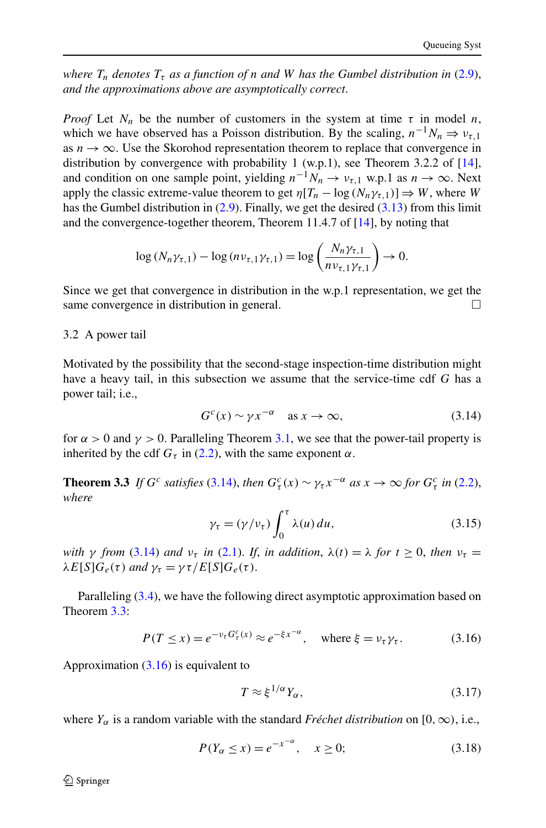<span id="page-9-0"></span>*where*  $T_n$  *denotes*  $T_{\tau}$  *as a function of n and W has the Gumbel distribution in* [\(2.9\)](#page-5-0), *and the approximations above are asymptotically correct*.

*Proof* Let  $N_n$  be the number of customers in the system at time  $\tau$  in model *n*, which we have observed has a Poisson distribution. By the scaling,  $n^{-1}N_n \Rightarrow v_{\tau,1}$ as  $n \to \infty$ . Use the Skorohod representation theorem to replace that convergence in distribution by convergence with probability 1 (w.p.1), see Theorem 3.2.2 of  $[14]$  $[14]$ , and condition on one sample point, yielding  $n^{-1}N_n \to \nu_{\tau,1}$  w.p.1 as  $n \to \infty$ . Next apply the classic extreme-value theorem to get  $\eta[T_n - \log(N_n \gamma_{n,1})] \Rightarrow W$ , where *W* has the Gumbel distribution in  $(2.9)$  $(2.9)$  $(2.9)$ . Finally, we get the desired  $(3.13)$  from this limit and the convergence-together theorem, Theorem 11.4.7 of [\[14\]](#page-27-0), by noting that

$$
\log (N_n \gamma_{\tau,1}) - \log (n \nu_{\tau,1} \gamma_{\tau,1}) = \log \left( \frac{N_n \gamma_{\tau,1}}{n \nu_{\tau,1} \gamma_{\tau,1}} \right) \to 0.
$$

Since we get that convergence in distribution in the w.p.1 representation, we get the same convergence in distribution in general.  $\Box$ 

### 3.2 A power tail

Motivated by the possibility that the second-stage inspection-time distribution might have a heavy tail, in this subsection we assume that the service-time cdf *G* has a power tail; i.e.,

$$
G^{c}(x) \sim \gamma x^{-\alpha} \quad \text{as } x \to \infty,
$$
\n(3.14)

for  $\alpha > 0$  and  $\gamma > 0$ . Paralleling Theorem [3.1](#page-7-0), we see that the power-tail property is inherited by the cdf  $G<sub>\tau</sub>$  in [\(2.2](#page-4-0)), with the same exponent  $\alpha$ .

**Theorem 3.3** *If*  $G^c$  *satisfies* (3.14), *then*  $G^c_\tau(x) \sim \gamma_\tau x^{-\alpha}$  *as*  $x \to \infty$  *for*  $G^c_\tau$  *in* [\(2.2\)](#page-4-0), *where*

$$
\gamma_{\tau} = (\gamma/v_{\tau}) \int_0^{\tau} \lambda(u) du, \qquad (3.15)
$$

*with γ from* (3.14) *and*  $v<sub>r</sub>$  *in* ([2.1](#page-3-0)). *If, in addition,*  $\lambda(t) = \lambda$  *for*  $t \ge 0$ *, then*  $v<sub>\tau</sub> =$  $\lambda E[S]G_{e}(\tau)$  *and*  $\gamma_{\tau} = \gamma \tau / E[S]G_{e}(\tau)$ .

Paralleling [\(3.4\)](#page-7-0), we have the following direct asymptotic approximation based on Theorem 3.3:

$$
P(T \le x) = e^{-\nu_{\tau} G_{\tau}^{c}(x)} \approx e^{-\xi x^{-\alpha}}, \quad \text{where } \xi = \nu_{\tau} \gamma_{\tau}.
$$
 (3.16)

Approximation (3.16) is equivalent to

$$
T \approx \xi^{1/\alpha} Y_{\alpha},\tag{3.17}
$$

where  $Y_\alpha$  is a random variable with the standard *Fréchet distribution* on [0, ∞), i.e.,

$$
P(Y_{\alpha} \le x) = e^{-x^{-\alpha}}, \quad x \ge 0; \tag{3.18}
$$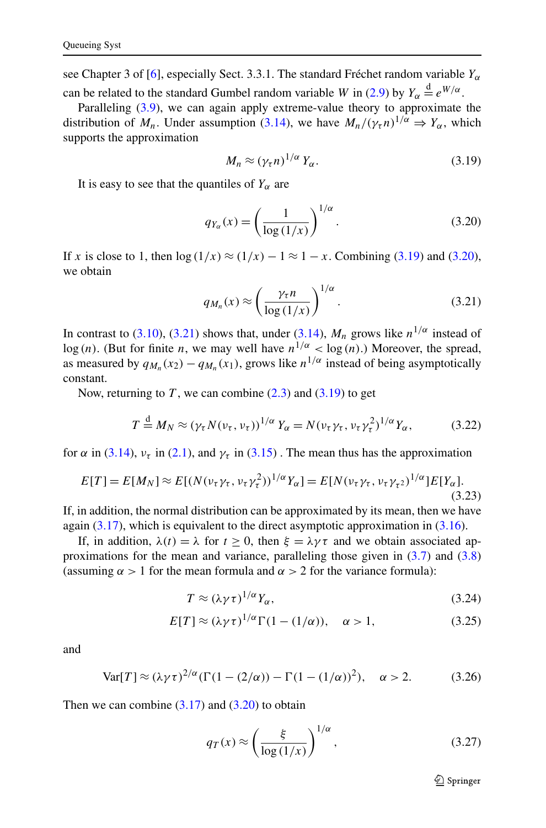<span id="page-10-0"></span>see Chapter 3 of [\[6](#page-27-0)], especially Sect. 3.3.1. The standard Fréchet random variable  $Y_\alpha$ can be related to the standard Gumbel random variable *W* in ([2.9](#page-5-0)) by  $Y_{\alpha} \stackrel{d}{=} e^{W/\alpha}$ .

Paralleling [\(3.9](#page-8-0)), we can again apply extreme-value theory to approximate the distribution of  $M_n$ . Under assumption ([3.14](#page-9-0)), we have  $M_n/(\gamma_\tau n)^{1/\alpha} \Rightarrow Y_\alpha$ , which supports the approximation

$$
M_n \approx (\gamma_\tau n)^{1/\alpha} Y_\alpha. \tag{3.19}
$$

It is easy to see that the quantiles of  $Y_\alpha$  are

$$
q_{Y_{\alpha}}(x) = \left(\frac{1}{\log\left(1/x\right)}\right)^{1/\alpha}.\tag{3.20}
$$

If *x* is close to 1, then  $\log(1/x) \approx (1/x) - 1 \approx 1 - x$ . Combining (3.19) and (3.20), we obtain

$$
q_{M_n}(x) \approx \left(\frac{\gamma_\tau n}{\log\left(1/x\right)}\right)^{1/\alpha}.\tag{3.21}
$$

In contrast to [\(3.10\)](#page-8-0), (3.21) shows that, under ([3.14](#page-9-0)),  $M_n$  grows like  $n^{1/\alpha}$  instead of log (n). (But for finite *n*, we may well have  $n^{1/\alpha} < log(n)$ .) Moreover, the spread, as measured by  $q_{M_n}(x_2) - q_{M_n}(x_1)$ , grows like  $n^{1/\alpha}$  instead of being asymptotically constant.

Now, returning to  $T$ , we can combine  $(2.3)$  and  $(3.19)$  to get

$$
T \stackrel{\text{d}}{=} M_N \approx (\gamma_\tau N(\nu_\tau, \nu_\tau))^{1/\alpha} Y_\alpha = N(\nu_\tau \gamma_\tau, \nu_\tau \gamma_\tau^2)^{1/\alpha} Y_\alpha,\tag{3.22}
$$

for  $\alpha$  in [\(3.14\)](#page-9-0),  $v_{\tau}$  in ([2.1](#page-3-0)), and  $\gamma_{\tau}$  in [\(3.15\)](#page-9-0). The mean thus has the approximation

$$
E[T] = E[M_N] \approx E[(N(\nu_\tau \gamma_\tau, \nu_\tau \gamma_\tau^2))^{1/\alpha} Y_\alpha] = E[N(\nu_\tau \gamma_\tau, \nu_\tau \gamma_\tau^2)^{1/\alpha}] E[Y_\alpha].
$$
\n(3.23)

If, in addition, the normal distribution can be approximated by its mean, then we have again  $(3.17)$ , which is equivalent to the direct asymptotic approximation in  $(3.16)$  $(3.16)$  $(3.16)$ .

If, in addition,  $\lambda(t) = \lambda$  for  $t \geq 0$ , then  $\xi = \lambda \gamma \tau$  and we obtain associated approximations for the mean and variance, paralleling those given in  $(3.7)$  and  $(3.8)$  $(3.8)$  $(3.8)$ (assuming  $\alpha > 1$  for the mean formula and  $\alpha > 2$  for the variance formula):

$$
T \approx (\lambda \gamma \tau)^{1/\alpha} Y_{\alpha},\tag{3.24}
$$

$$
E[T] \approx (\lambda \gamma \tau)^{1/\alpha} \Gamma(1 - (1/\alpha)), \quad \alpha > 1,
$$
 (3.25)

and

$$
\text{Var}[T] \approx (\lambda \gamma \tau)^{2/\alpha} (\Gamma(1 - (2/\alpha)) - \Gamma(1 - (1/\alpha))^2), \quad \alpha > 2. \tag{3.26}
$$

Then we can combine  $(3.17)$  and  $(3.20)$  to obtain

$$
q_T(x) \approx \left(\frac{\xi}{\log\left(1/x\right)}\right)^{1/\alpha},\tag{3.27}
$$

 $\mathcal{D}$  Springer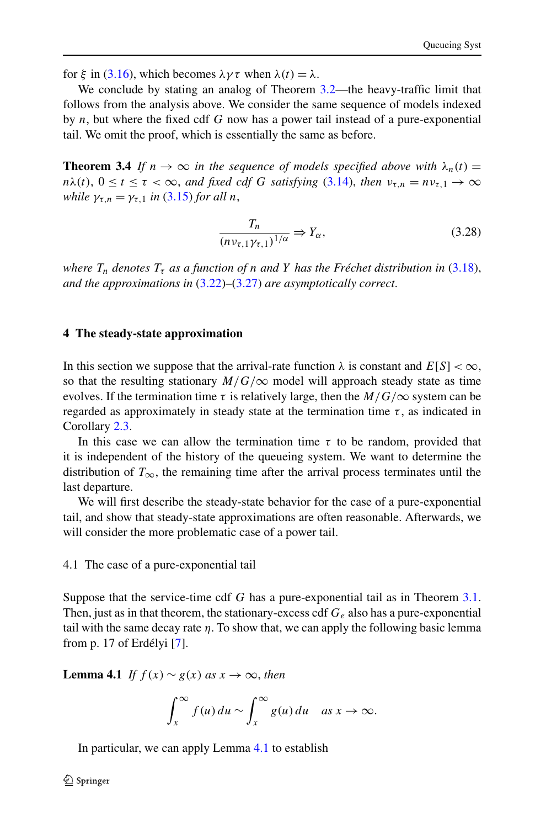<span id="page-11-0"></span>for  $\xi$  in ([3.16\)](#page-9-0), which becomes  $\lambda \gamma \tau$  when  $\lambda(t) = \lambda$ .

We conclude by stating an analog of Theorem [3.2](#page-8-0)—the heavy-traffic limit that follows from the analysis above. We consider the same sequence of models indexed by *n*, but where the fixed cdf *G* now has a power tail instead of a pure-exponential tail. We omit the proof, which is essentially the same as before.

**Theorem 3.4** If  $n \to \infty$  in the sequence of models specified above with  $\lambda_n(t)$  =  $n\lambda(t)$ ,  $0 \le t \le \tau < \infty$ , *and fixed cdf G satisfying* [\(3.14\)](#page-9-0), *then*  $v_{\tau,n} = nv_{\tau,1} \to \infty$ *while*  $\gamma_{\tau n} = \gamma_{\tau 1}$  *in* ([3.15\)](#page-9-0) *for all n*,

$$
\frac{T_n}{(n\nu_{\tau,1}\gamma_{\tau,1})^{1/\alpha}} \Rightarrow Y_\alpha,\tag{3.28}
$$

*where*  $T_n$  *denotes*  $T_{\tau}$  *as a function of n and Y has the Fréchet distribution in* [\(3.18\)](#page-9-0), *and the approximations in* [\(3.22](#page-10-0))*–*[\(3.27\)](#page-10-0) *are asymptotically correct*.

#### **4 The steady-state approximation**

In this section we suppose that the arrival-rate function  $\lambda$  is constant and  $E[S] < \infty$ , so that the resulting stationary  $M/G/\infty$  model will approach steady state as time evolves. If the termination time  $\tau$  is relatively large, then the  $M/G/\infty$  system can be regarded as approximately in steady state at the termination time  $\tau$ , as indicated in Corollary [2.3.](#page-6-0)

In this case we can allow the termination time  $\tau$  to be random, provided that it is independent of the history of the queueing system. We want to determine the distribution of  $T_{\infty}$ , the remaining time after the arrival process terminates until the last departure.

We will first describe the steady-state behavior for the case of a pure-exponential tail, and show that steady-state approximations are often reasonable. Afterwards, we will consider the more problematic case of a power tail.

4.1 The case of a pure-exponential tail

Suppose that the service-time cdf *G* has a pure-exponential tail as in Theorem [3.1](#page-7-0). Then, just as in that theorem, the stationary-excess cdf *Ge* also has a pure-exponential tail with the same decay rate  $\eta$ . To show that, we can apply the following basic lemma from p. 17 of Erdélyi [\[7\]](#page-27-0).

**Lemma 4.1** *If*  $f(x) \sim g(x)$  *as*  $x \to \infty$ *, then* 

$$
\int_x^{\infty} f(u) du \sim \int_x^{\infty} g(u) du \quad \text{as } x \to \infty.
$$

In particular, we can apply Lemma 4.1 to establish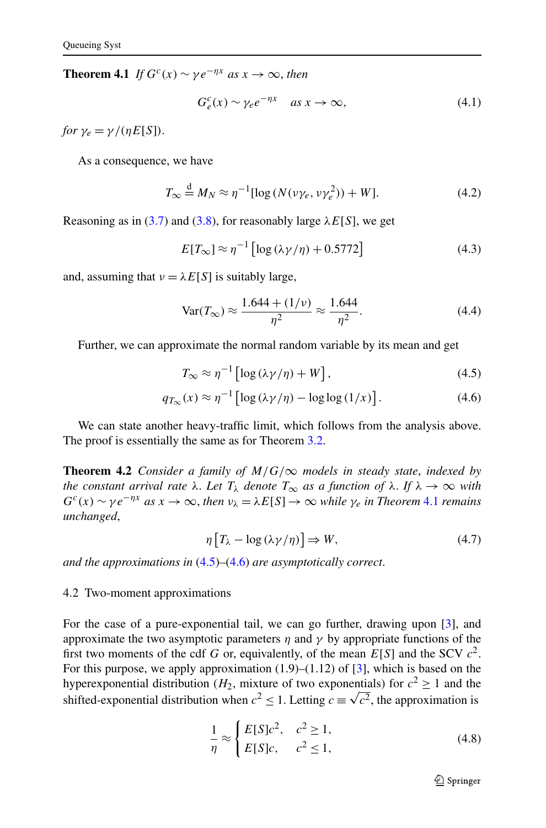<span id="page-12-0"></span>**Theorem 4.1** *If*  $G^c(x) \sim \gamma e^{-\eta x}$  *as*  $x \to \infty$ *, then* 

$$
G_e^c(x) \sim \gamma_e e^{-\eta x} \quad \text{as } x \to \infty,
$$
\n(4.1)

*for*  $\nu_e = \nu / (nE[S])$ .

As a consequence, we have

$$
T_{\infty} \stackrel{\text{d}}{=} M_N \approx \eta^{-1} [\log \left( N(\nu \gamma_e, \nu \gamma_e^2) \right) + W]. \tag{4.2}
$$

Reasoning as in ([3.7](#page-7-0)) and [\(3.8\)](#page-8-0), for reasonably large  $\lambda E[S]$ , we get

$$
E[T_{\infty}] \approx \eta^{-1} \left[ \log \left( \lambda \gamma / \eta \right) + 0.5772 \right] \tag{4.3}
$$

and, assuming that  $v = \lambda E[S]$  is suitably large,

$$
Var(T_{\infty}) \approx \frac{1.644 + (1/\nu)}{\eta^2} \approx \frac{1.644}{\eta^2}.
$$
 (4.4)

Further, we can approximate the normal random variable by its mean and get

$$
T_{\infty} \approx \eta^{-1} \left[ \log \left( \lambda \gamma / \eta \right) + W \right],\tag{4.5}
$$

$$
q_{T_{\infty}}(x) \approx \eta^{-1} \left[ \log \left( \frac{\lambda \gamma}{\eta} \right) - \log \log \left( \frac{1}{x} \right) \right]. \tag{4.6}
$$

We can state another heavy-traffic limit, which follows from the analysis above. The proof is essentially the same as for Theorem [3.2.](#page-8-0)

**Theorem 4.2** *Consider a family of*  $M/G/\infty$  *models in steady state, indexed by the constant arrival rate*  $\lambda$ . *Let*  $T_{\lambda}$  *denote*  $T_{\infty}$  *as a function of*  $\lambda$ . *If*  $\lambda \to \infty$  *with*  $G^{c}(x) \sim \gamma e^{-\eta x}$  *as*  $x \to \infty$ , *then*  $\nu_{\lambda} = \lambda E[S] \to \infty$  *while*  $\gamma_{e}$  *in Theorem* 4.1 *remains unchanged*,

$$
\eta \left[ T_{\lambda} - \log \left( \lambda \gamma / \eta \right) \right] \Rightarrow W, \tag{4.7}
$$

*and the approximations in* (4.5)*–*(4.6) *are asymptotically correct*.

## 4.2 Two-moment approximations

For the case of a pure-exponential tail, we can go further, drawing upon [[3\]](#page-27-0), and approximate the two asymptotic parameters  $\eta$  and  $\gamma$  by appropriate functions of the first two moments of the cdf *G* or, equivalently, of the mean  $E[S]$  and the SCV  $c^2$ . For this purpose, we apply approximation  $(1.9)$ – $(1.12)$  of  $[3]$  $[3]$ , which is based on the hyperexponential distribution ( $H_2$ , mixture of two exponentials) for  $c^2 \ge 1$  and the shifted-exponential distribution when  $c^2 \le 1$ . Letting  $c \equiv \sqrt{c^2}$ , the approximation is shifted-exponential distribution when  $c^2 \le 1$ . Letting  $c \equiv \sqrt{c^2}$ , the approximation is

$$
\frac{1}{\eta} \approx \begin{cases} E[S]c^2, & c^2 \ge 1, \\ E[S]c, & c^2 \le 1, \end{cases}
$$
\n(4.8)

 $\mathcal{D}$  Springer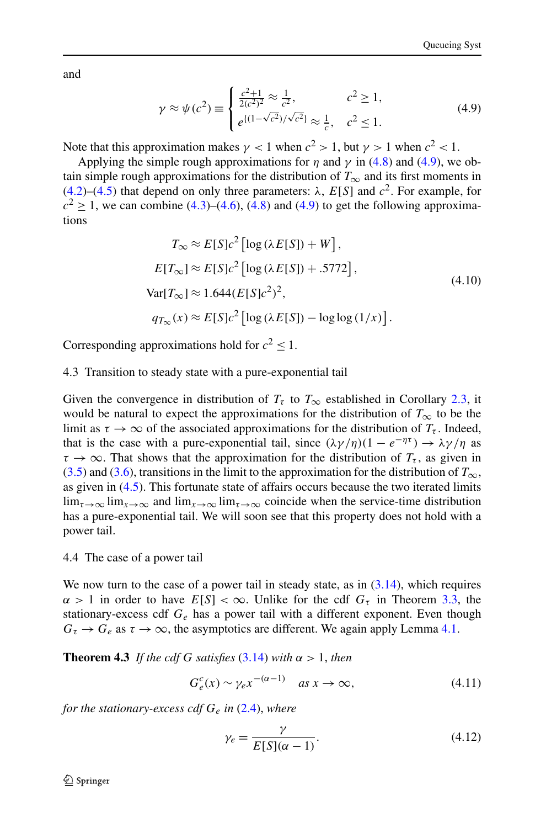<span id="page-13-0"></span>and

$$
\gamma \approx \psi(c^2) \equiv \begin{cases} \frac{c^2 + 1}{2(c^2)^2} \approx \frac{1}{c^2}, & c^2 \ge 1, \\ e^{\{(1 - \sqrt{c^2})/\sqrt{c^2}\}} \approx \frac{1}{c}, & c^2 \le 1. \end{cases}
$$
(4.9)

Note that this approximation makes  $\gamma$  < 1 when  $c^2 > 1$ , but  $\gamma > 1$  when  $c^2 < 1$ .

Applying the simple rough approximations for  $\eta$  and  $\gamma$  in [\(4.8\)](#page-12-0) and (4.9), we obtain simple rough approximations for the distribution of  $T_{\infty}$  and its first moments in [\(4.2\)](#page-12-0)–[\(4.5\)](#page-12-0) that depend on only three parameters:  $\lambda$ ,  $E[S]$  and  $c^2$ . For example, for  $c<sup>2</sup>$  > 1, we can combine ([4.3](#page-12-0))–([4.6](#page-12-0)), [\(4.8\)](#page-12-0) and (4.9) to get the following approximations

$$
T_{\infty} \approx E[S]c^2 [\log(\lambda E[S]) + W],
$$
  
\n
$$
E[T_{\infty}] \approx E[S]c^2 [\log(\lambda E[S]) + .5772],
$$
  
\n
$$
Var[T_{\infty}] \approx 1.644(E[S]c^2)^2,
$$
  
\n
$$
q_{T_{\infty}}(x) \approx E[S]c^2 [\log(\lambda E[S]) - \log \log(1/x)].
$$
\n(4.10)

Corresponding approximations hold for  $c^2 \leq 1$ .

### 4.3 Transition to steady state with a pure-exponential tail

Given the convergence in distribution of  $T<sub>\tau</sub>$  to  $T<sub>\infty</sub>$  established in Corollary [2.3,](#page-6-0) it would be natural to expect the approximations for the distribution of  $T_{\infty}$  to be the limit as  $\tau \to \infty$  of the associated approximations for the distribution of  $T_{\tau}$ . Indeed, that is the case with a pure-exponential tail, since  $(\lambda \gamma/\eta)(1 - e^{-\eta \tau}) \rightarrow \lambda \gamma/\eta$  as  $\tau \to \infty$ . That shows that the approximation for the distribution of  $T_{\tau}$ , as given in [\(3.5\)](#page-7-0) and ([3.6](#page-7-0)), transitions in the limit to the approximation for the distribution of  $T_{\infty}$ , as given in [\(4.5\)](#page-12-0). This fortunate state of affairs occurs because the two iterated limits  $\lim_{\tau\to\infty}$  lim<sub> $x\to\infty$ </sub> and lim<sub> $x\to\infty$ </sub> lim<sub> $\tau\to\infty$ </sub> coincide when the service-time distribution has a pure-exponential tail. We will soon see that this property does not hold with a power tail.

### 4.4 The case of a power tail

We now turn to the case of a power tail in steady state, as in  $(3.14)$  $(3.14)$  $(3.14)$ , which requires  $\alpha > 1$  in order to have  $E[S] < \infty$ . Unlike for the cdf  $G_{\tau}$  in Theorem [3.3](#page-9-0), the stationary-excess cdf  $G_e$  has a power tail with a different exponent. Even though  $G_{\tau} \rightarrow G_{e}$  as  $\tau \rightarrow \infty$ , the asymptotics are different. We again apply Lemma [4.1.](#page-11-0)

**Theorem 4.3** *If the cdf G satisfies* [\(3.14\)](#page-9-0) *with*  $\alpha > 1$ *, then* 

$$
G_e^c(x) \sim \gamma_e x^{-(\alpha - 1)} \quad \text{as } x \to \infty,\tag{4.11}
$$

*for the stationary-excess cdf Ge in* [\(2.4](#page-4-0)), *where*

$$
\gamma_e = \frac{\gamma}{E[S](\alpha - 1)}.\tag{4.12}
$$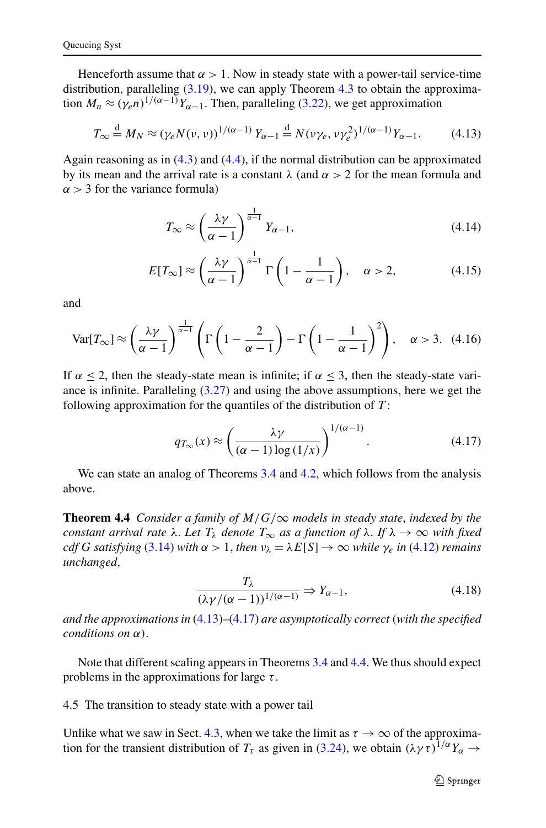<span id="page-14-0"></span>Henceforth assume that  $\alpha > 1$ . Now in steady state with a power-tail service-time distribution, paralleling  $(3.19)$  $(3.19)$  $(3.19)$ , we can apply Theorem [4.3](#page-13-0) to obtain the approximation  $M_n \approx (\gamma_e n)^{1/(\alpha-1)} Y_{\alpha-1}$ . Then, paralleling [\(3.22\)](#page-10-0), we get approximation

$$
T_{\infty} \stackrel{\text{d}}{=} M_N \approx (\gamma_e N(\nu, \nu))^{1/(\alpha - 1)} Y_{\alpha - 1} \stackrel{\text{d}}{=} N(\nu \gamma_e, \nu \gamma_e^2)^{1/(\alpha - 1)} Y_{\alpha - 1}.
$$
 (4.13)

Again reasoning as in [\(4.3\)](#page-12-0) and ([4.4](#page-12-0)), if the normal distribution can be approximated by its mean and the arrival rate is a constant *λ* (and *α >* 2 for the mean formula and  $\alpha$  > 3 for the variance formula)

$$
T_{\infty} \approx \left(\frac{\lambda \gamma}{\alpha - 1}\right)^{\frac{1}{\alpha - 1}} Y_{\alpha - 1},\tag{4.14}
$$

$$
E[T_{\infty}] \approx \left(\frac{\lambda \gamma}{\alpha - 1}\right)^{\frac{1}{\alpha - 1}} \Gamma\left(1 - \frac{1}{\alpha - 1}\right), \quad \alpha > 2,
$$
 (4.15)

and

$$
\text{Var}[T_{\infty}] \approx \left(\frac{\lambda \gamma}{\alpha - 1}\right)^{\frac{1}{\alpha - 1}} \left(\Gamma\left(1 - \frac{2}{\alpha - 1}\right) - \Gamma\left(1 - \frac{1}{\alpha - 1}\right)^2\right), \quad \alpha > 3. \tag{4.16}
$$

If  $\alpha \leq 2$ , then the steady-state mean is infinite; if  $\alpha \leq 3$ , then the steady-state variance is infinite. Paralleling [\(3.27\)](#page-10-0) and using the above assumptions, here we get the following approximation for the quantiles of the distribution of *T* :

$$
q_{T_{\infty}}(x) \approx \left(\frac{\lambda \gamma}{(\alpha - 1) \log(1/x)}\right)^{1/(\alpha - 1)}.
$$
 (4.17)

We can state an analog of Theorems [3.4](#page-11-0) and [4.2,](#page-12-0) which follows from the analysis above.

**Theorem 4.4** *Consider a family of*  $M/G/\infty$  *models in steady state, indexed by the constant arrival rate*  $\lambda$ . Let  $T_{\lambda}$  *denote*  $T_{\infty}$  *as a function of*  $\lambda$ . If  $\lambda \to \infty$  *with fixed cdf G satisfying* ([3.14\)](#page-9-0) *with*  $\alpha > 1$ *, then*  $\nu_{\lambda} = \lambda E[S] \rightarrow \infty$  *while*  $\gamma_e$  *in* ([4.12](#page-13-0)) *remains unchanged*,

$$
\frac{T_{\lambda}}{(\lambda \gamma/(\alpha - 1))^{1/(\alpha - 1)}} \Rightarrow Y_{\alpha - 1},
$$
\n(4.18)

*and the approximations in* (4.13)*–*(4.17) *are asymptotically correct (with the specified conditions on α)*.

Note that different scaling appears in Theorems [3.4](#page-11-0) and 4.4. We thus should expect problems in the approximations for large *τ* .

4.5 The transition to steady state with a power tail

Unlike what we saw in Sect. [4.3](#page-13-0), when we take the limit as  $\tau \to \infty$  of the approximation for the transient distribution of  $T_\tau$  as given in ([3.24](#page-10-0)), we obtain  $(\lambda \gamma \tau)^{1/\alpha} Y_\alpha \to$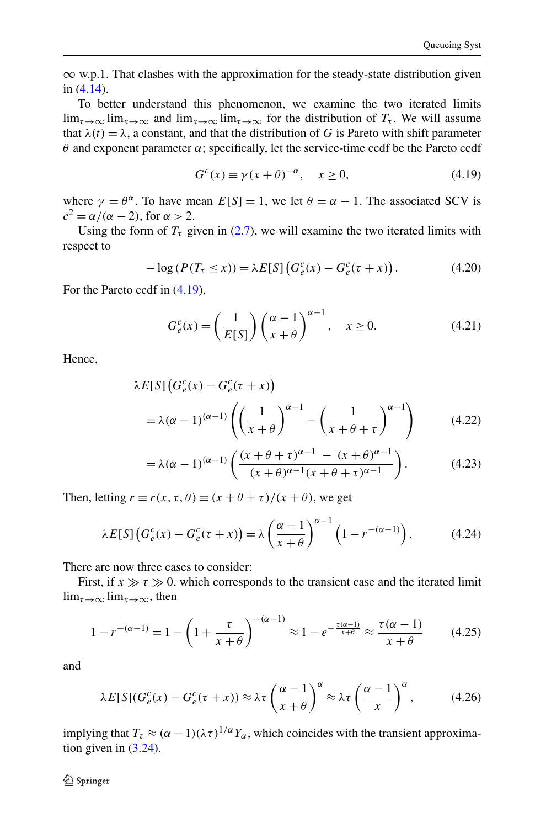<span id="page-15-0"></span>∞ w.p.1. That clashes with the approximation for the steady-state distribution given in [\(4.14\)](#page-14-0).

To better understand this phenomenon, we examine the two iterated limits  $\lim_{\tau \to \infty} \lim_{x \to \infty}$  and  $\lim_{x \to \infty} \lim_{\tau \to \infty}$  for the distribution of  $T_{\tau}$ . We will assume that  $\lambda(t) = \lambda$ , a constant, and that the distribution of *G* is Pareto with shift parameter *θ* and exponent parameter *α*; specifically, let the service-time ccdf be the Pareto ccdf

$$
G^{c}(x) \equiv \gamma(x+\theta)^{-\alpha}, \quad x \ge 0,
$$
\n(4.19)

where  $\gamma = \theta^{\alpha}$ . To have mean  $E[S] = 1$ , we let  $\theta = \alpha - 1$ . The associated SCV is  $c^2 = \alpha/(\alpha - 2)$ , for  $\alpha > 2$ .

Using the form of  $T<sub>\tau</sub>$  given in ([2.7](#page-4-0)), we will examine the two iterated limits with respect to

$$
-\log(P(T_\tau \le x)) = \lambda E[S] \left( G_e^c(x) - G_e^c(\tau + x) \right). \tag{4.20}
$$

For the Pareto ccdf in (4.19),

$$
G_e^c(x) = \left(\frac{1}{E[S]}\right) \left(\frac{\alpha - 1}{x + \theta}\right)^{\alpha - 1}, \quad x \ge 0.
$$
 (4.21)

Hence,

$$
\lambda E[S] \left( G_e^c(x) - G_e^c(\tau + x) \right)
$$
  
=  $\lambda (\alpha - 1)^{(\alpha - 1)} \left( \left( \frac{1}{x + \theta} \right)^{\alpha - 1} - \left( \frac{1}{x + \theta + \tau} \right)^{\alpha - 1} \right)$  (4.22)

$$
= \lambda(\alpha - 1)^{(\alpha - 1)} \left( \frac{(x + \theta + \tau)^{\alpha - 1} - (x + \theta)^{\alpha - 1}}{(x + \theta)^{\alpha - 1}(x + \theta + \tau)^{\alpha - 1}} \right).
$$
 (4.23)

Then, letting  $r \equiv r(x, \tau, \theta) \equiv (x + \theta + \tau)/(x + \theta)$ , we get

$$
\lambda E[S] \left( G_e^c(x) - G_e^c(\tau + x) \right) = \lambda \left( \frac{\alpha - 1}{x + \theta} \right)^{\alpha - 1} \left( 1 - r^{-(\alpha - 1)} \right). \tag{4.24}
$$

There are now three cases to consider:

First, if  $x \gg \tau \gg 0$ , which corresponds to the transient case and the iterated limit  $\lim_{\tau \to \infty} \lim_{x \to \infty}$ , then

$$
1 - r^{-(\alpha - 1)} = 1 - \left(1 + \frac{\tau}{x + \theta}\right)^{-(\alpha - 1)} \approx 1 - e^{-\frac{\tau(\alpha - 1)}{x + \theta}} \approx \frac{\tau(\alpha - 1)}{x + \theta} \tag{4.25}
$$

and

$$
\lambda E[S](G_e^c(x) - G_e^c(\tau + x)) \approx \lambda \tau \left(\frac{\alpha - 1}{x + \theta}\right)^{\alpha} \approx \lambda \tau \left(\frac{\alpha - 1}{x}\right)^{\alpha},\tag{4.26}
$$

implying that  $T_\tau \approx (\alpha - 1)(\lambda \tau)^{1/\alpha} Y_\alpha$ , which coincides with the transient approximation given in ([3.24](#page-10-0)).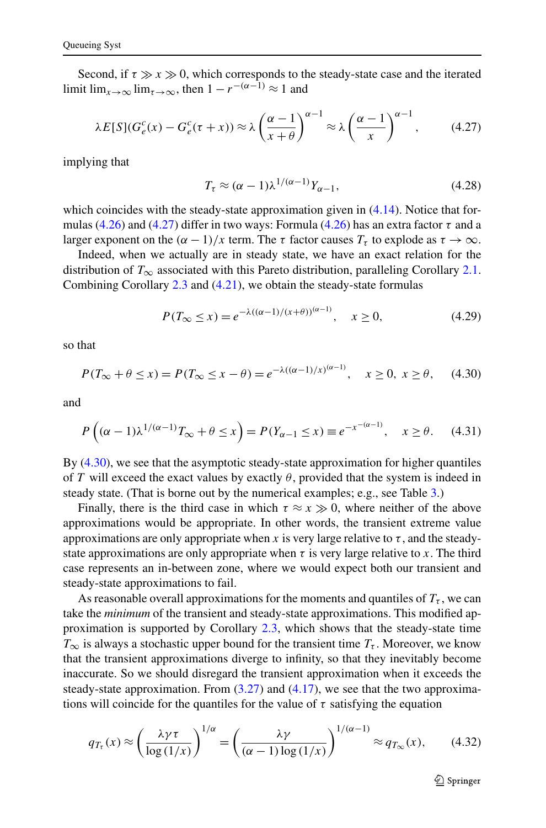<span id="page-16-0"></span>Second, if  $\tau \gg x \gg 0$ , which corresponds to the steady-state case and the iterated limit  $\lim_{x\to\infty} \lim_{\tau\to\infty}$ , then  $1 - r^{-(\alpha-1)} \approx 1$  and

$$
\lambda E[S](G_e^c(x) - G_e^c(\tau + x)) \approx \lambda \left(\frac{\alpha - 1}{x + \theta}\right)^{\alpha - 1} \approx \lambda \left(\frac{\alpha - 1}{x}\right)^{\alpha - 1},\tag{4.27}
$$

implying that

$$
T_{\tau} \approx (\alpha - 1)\lambda^{1/(\alpha - 1)} Y_{\alpha - 1},\tag{4.28}
$$

which coincides with the steady-state approximation given in  $(4.14)$  $(4.14)$  $(4.14)$ . Notice that formulas [\(4.26\)](#page-15-0) and (4.27) differ in two ways: Formula [\(4.26\)](#page-15-0) has an extra factor *τ* and a larger exponent on the  $(\alpha - 1)/x$  term. The  $\tau$  factor causes  $T_{\tau}$  to explode as  $\tau \to \infty$ .

Indeed, when we actually are in steady state, we have an exact relation for the distribution of  $T_{\infty}$  associated with this Pareto distribution, paralleling Corollary [2.1](#page-5-0). Combining Corollary [2.3](#page-6-0) and ([4.21](#page-15-0)), we obtain the steady-state formulas

$$
P(T_{\infty} \le x) = e^{-\lambda((\alpha - 1)/(x + \theta))^{(\alpha - 1)}}, \quad x \ge 0,
$$
\n(4.29)

so that

$$
P(T_{\infty} + \theta \le x) = P(T_{\infty} \le x - \theta) = e^{-\lambda((\alpha - 1)/x)^{(\alpha - 1)}}, \quad x \ge 0, \ x \ge \theta,\tag{4.30}
$$

and

$$
P\left((\alpha - 1)\lambda^{1/(\alpha - 1)}T_{\infty} + \theta \le x\right) = P(Y_{\alpha - 1} \le x) \equiv e^{-x^{-(\alpha - 1)}}, \quad x \ge \theta. \tag{4.31}
$$

By (4.30), we see that the asymptotic steady-state approximation for higher quantiles of *T* will exceed the exact values by exactly  $\theta$ , provided that the system is indeed in steady state. (That is borne out by the numerical examples; e.g., see Table [3.](#page-23-0))

Finally, there is the third case in which  $\tau \approx x \gg 0$ , where neither of the above approximations would be appropriate. In other words, the transient extreme value approximations are only appropriate when *x* is very large relative to  $\tau$ , and the steadystate approximations are only appropriate when  $\tau$  is very large relative to x. The third case represents an in-between zone, where we would expect both our transient and steady-state approximations to fail.

As reasonable overall approximations for the moments and quantiles of  $T_{\tau}$ , we can take the *minimum* of the transient and steady-state approximations. This modified approximation is supported by Corollary [2.3](#page-6-0), which shows that the steady-state time  $T_{\infty}$  is always a stochastic upper bound for the transient time  $T_{\tau}$ . Moreover, we know that the transient approximations diverge to infinity, so that they inevitably become inaccurate. So we should disregard the transient approximation when it exceeds the steady-state approximation. From  $(3.27)$  $(3.27)$  $(3.27)$  and  $(4.17)$  $(4.17)$  $(4.17)$ , we see that the two approximations will coincide for the quantiles for the value of  $\tau$  satisfying the equation

$$
q_{T_{\tau}}(x) \approx \left(\frac{\lambda \gamma \tau}{\log\left(1/x\right)}\right)^{1/\alpha} = \left(\frac{\lambda \gamma}{(\alpha - 1)\log\left(1/x\right)}\right)^{1/(\alpha - 1)} \approx q_{T_{\infty}}(x),\tag{4.32}
$$

 $\mathcal{D}$  Springer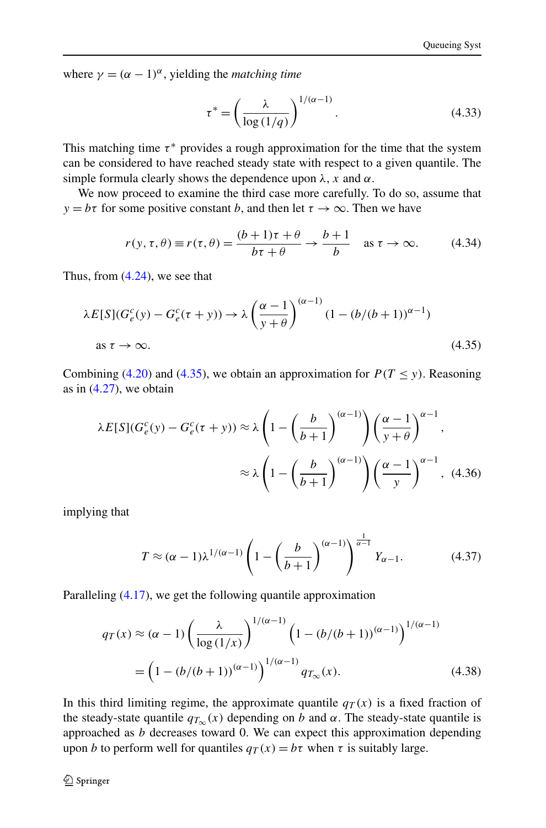<span id="page-17-0"></span>where  $\gamma = (\alpha - 1)^{\alpha}$ , yielding the *matching time* 

$$
\tau^* = \left(\frac{\lambda}{\log\left(1/q\right)}\right)^{1/(\alpha-1)}.\tag{4.33}
$$

This matching time  $\tau^*$  provides a rough approximation for the time that the system can be considered to have reached steady state with respect to a given quantile. The simple formula clearly shows the dependence upon  $\lambda$ , *x* and  $\alpha$ .

We now proceed to examine the third case more carefully. To do so, assume that *y* = *bτ* for some positive constant *b*, and then let  $\tau \to \infty$ . Then we have

$$
r(y, \tau, \theta) \equiv r(\tau, \theta) = \frac{(b+1)\tau + \theta}{b\tau + \theta} \to \frac{b+1}{b} \quad \text{as } \tau \to \infty.
$$
 (4.34)

Thus, from  $(4.24)$  $(4.24)$  $(4.24)$ , we see that

$$
\lambda E[S](G_e^c(y) - G_e^c(\tau + y)) \to \lambda \left(\frac{\alpha - 1}{y + \theta}\right)^{(\alpha - 1)} (1 - (b/(b+1))^{\alpha - 1})
$$
  
as  $\tau \to \infty$ . (4.35)

Combining ([4.20](#page-15-0)) and (4.35), we obtain an approximation for  $P(T \le y)$ . Reasoning as in  $(4.27)$ , we obtain

$$
\lambda E[S](G_e^c(y) - G_e^c(\tau + y)) \approx \lambda \left(1 - \left(\frac{b}{b+1}\right)^{(\alpha-1)}\right) \left(\frac{\alpha-1}{y+\theta}\right)^{\alpha-1},
$$

$$
\approx \lambda \left(1 - \left(\frac{b}{b+1}\right)^{(\alpha-1)}\right) \left(\frac{\alpha-1}{y}\right)^{\alpha-1}, \quad (4.36)
$$

implying that

$$
T \approx (\alpha - 1)\lambda^{1/(\alpha - 1)} \left(1 - \left(\frac{b}{b+1}\right)^{(\alpha - 1)}\right)^{\frac{1}{\alpha - 1}} Y_{\alpha - 1}.
$$
 (4.37)

Paralleling ([4.17](#page-14-0)), we get the following quantile approximation

$$
q_T(x) \approx (\alpha - 1) \left(\frac{\lambda}{\log(1/x)}\right)^{1/(\alpha - 1)} \left(1 - (b/(b+1))^{(\alpha - 1)}\right)^{1/(\alpha - 1)}
$$

$$
= \left(1 - (b/(b+1))^{(\alpha - 1)}\right)^{1/(\alpha - 1)} q_{T_{\infty}}(x).
$$
(4.38)

In this third limiting regime, the approximate quantile  $q_T(x)$  is a fixed fraction of the steady-state quantile  $q_{T<sub>\infty</sub>}$  (x) depending on *b* and *α*. The steady-state quantile is approached as *b* decreases toward 0. We can expect this approximation depending upon *b* to perform well for quantiles  $q_T(x) = b\tau$  when  $\tau$  is suitably large.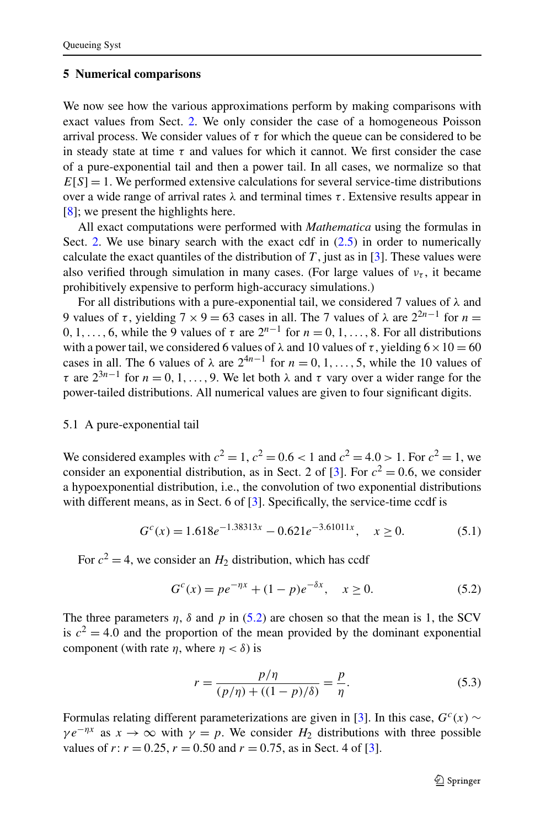#### <span id="page-18-0"></span>**5 Numerical comparisons**

We now see how the various approximations perform by making comparisons with exact values from Sect. [2.](#page-3-0) We only consider the case of a homogeneous Poisson arrival process. We consider values of  $\tau$  for which the queue can be considered to be in steady state at time  $\tau$  and values for which it cannot. We first consider the case of a pure-exponential tail and then a power tail. In all cases, we normalize so that  $E[S] = 1$ . We performed extensive calculations for several service-time distributions over a wide range of arrival rates  $\lambda$  and terminal times  $\tau$ . Extensive results appear in [\[8](#page-27-0)]; we present the highlights here.

All exact computations were performed with *Mathematica* using the formulas in Sect. [2](#page-3-0). We use binary search with the exact cdf in  $(2.5)$  in order to numerically calculate the exact quantiles of the distribution of  $T$ , just as in [\[3](#page-27-0)]. These values were also verified through simulation in many cases. (For large values of  $v<sub>\tau</sub>$ , it became prohibitively expensive to perform high-accuracy simulations.)

For all distributions with a pure-exponential tail, we considered 7 values of *λ* and 9 values of *τ*, yielding  $7 \times 9 = 63$  cases in all. The 7 values of λ are  $2^{2n-1}$  for  $n =$ 0, 1, ..., 6, while the 9 values of  $\tau$  are  $2^{n-1}$  for  $n = 0, 1, \ldots, 8$ . For all distributions with a power tail, we considered 6 values of  $\lambda$  and 10 values of  $\tau$ , yielding  $6 \times 10 = 60$ cases in all. The 6 values of  $\lambda$  are  $2^{4n-1}$  for  $n = 0, 1, \ldots, 5$ , while the 10 values of *τ* are  $2^{3n-1}$  for  $n = 0, 1, \ldots, 9$ . We let both  $\lambda$  and  $\tau$  vary over a wider range for the power-tailed distributions. All numerical values are given to four significant digits.

#### 5.1 A pure-exponential tail

We considered examples with  $c^2 = 1$ ,  $c^2 = 0.6 < 1$  and  $c^2 = 4.0 > 1$ . For  $c^2 = 1$ , we consider an exponential distribution, as in Sect. 2 of [[3\]](#page-27-0). For  $c^2 = 0.6$ , we consider a hypoexponential distribution, i.e., the convolution of two exponential distributions with different means, as in Sect. 6 of [[3\]](#page-27-0). Specifically, the service-time ccdf is

$$
G^{c}(x) = 1.618e^{-1.38313x} - 0.621e^{-3.61011x}, \quad x \ge 0.
$$
 (5.1)

For  $c^2 = 4$ , we consider an  $H_2$  distribution, which has ccdf

$$
G^{c}(x) = pe^{-\eta x} + (1 - p)e^{-\delta x}, \quad x \ge 0.
$$
 (5.2)

The three parameters  $\eta$ ,  $\delta$  and  $p$  in (5.2) are chosen so that the mean is 1, the SCV is  $c^2 = 4.0$  and the proportion of the mean provided by the dominant exponential component (with rate  $\eta$ , where  $\eta < \delta$ ) is

$$
r = \frac{p/\eta}{(p/\eta) + ((1-p)/\delta)} = \frac{p}{\eta}.
$$
 (5.3)

Formulas relating different parameterizations are given in [\[3](#page-27-0)]. In this case,  $G<sup>c</sup>(x)$  ∼  $\gamma e^{-\eta x}$  as  $x \to \infty$  with  $\gamma = p$ . We consider  $H_2$  distributions with three possible values of *r*:  $r = 0.25$ ,  $r = 0.50$  and  $r = 0.75$ , as in Sect. 4 of [[3\]](#page-27-0).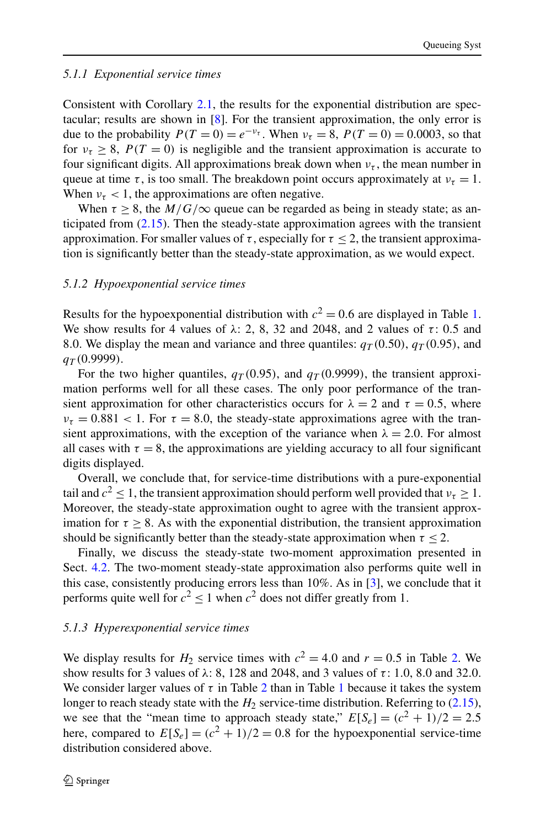## *5.1.1 Exponential service times*

Consistent with Corollary [2.1](#page-5-0), the results for the exponential distribution are spectacular; results are shown in [[8\]](#page-27-0). For the transient approximation, the only error is due to the probability  $P(T = 0) = e^{-\nu_{\tau}}$ . When  $\nu_{\tau} = 8$ ,  $P(T = 0) = 0.0003$ , so that for  $\nu_\tau > 8$ ,  $P(T = 0)$  is negligible and the transient approximation is accurate to four significant digits. All approximations break down when  $v_\tau$ , the mean number in queue at time  $\tau$ , is too small. The breakdown point occurs approximately at  $v_{\tau} = 1$ . When  $v_\tau$  < 1, the approximations are often negative.

When  $\tau \geq 8$ , the  $M/G/\infty$  queue can be regarded as being in steady state; as anticipated from ([2.15](#page-6-0)). Then the steady-state approximation agrees with the transient approximation. For smaller values of  $\tau$ , especially for  $\tau$  < 2, the transient approximation is significantly better than the steady-state approximation, as we would expect.

## *5.1.2 Hypoexponential service times*

Results for the hypoexponential distribution with  $c^2 = 0.6$  are displayed in Table [1](#page-20-0). We show results for 4 values of  $\lambda$ : 2, 8, 32 and 2048, and 2 values of  $\tau$ : 0.5 and 8.0. We display the mean and variance and three quantiles:  $q_T(0.50)$ ,  $q_T(0.95)$ , and *qT (*0*.*9999*)*.

For the two higher quantiles,  $q_T(0.95)$ , and  $q_T(0.9999)$ , the transient approximation performs well for all these cases. The only poor performance of the transient approximation for other characteristics occurs for  $\lambda = 2$  and  $\tau = 0.5$ , where  $\nu_{\tau} = 0.881 < 1$ . For  $\tau = 8.0$ , the steady-state approximations agree with the transient approximations, with the exception of the variance when  $\lambda = 2.0$ . For almost all cases with  $\tau = 8$ , the approximations are yielding accuracy to all four significant digits displayed.

Overall, we conclude that, for service-time distributions with a pure-exponential tail and  $c^2 \leq 1$ , the transient approximation should perform well provided that  $v<sub>\tau</sub> \geq 1$ . Moreover, the steady-state approximation ought to agree with the transient approximation for  $\tau \geq 8$ . As with the exponential distribution, the transient approximation should be significantly better than the steady-state approximation when  $\tau \leq 2$ .

Finally, we discuss the steady-state two-moment approximation presented in Sect. [4.2](#page-12-0). The two-moment steady-state approximation also performs quite well in this case, consistently producing errors less than 10%. As in [[3\]](#page-27-0), we conclude that it performs quite well for  $c^2 \le 1$  when  $c^2$  does not differ greatly from 1.

### *5.1.3 Hyperexponential service times*

We display results for  $H_2$  service times with  $c^2 = 4.0$  and  $r = 0.5$  in Table [2.](#page-21-0) We show results for 3 values of *λ*: 8, 128 and 2048, and 3 values of *τ* : 1*.*0, 8*.*0 and 32*.*0. We consider larger values of  $\tau$  in Table [2](#page-21-0) than in Table [1](#page-20-0) because it takes the system longer to reach steady state with the  $H_2$  service-time distribution. Referring to  $(2.15)$ , we see that the "mean time to approach steady state,"  $E[S_e] = (c^2 + 1)/2 = 2.5$ here, compared to  $E[S_e] = (c^2 + 1)/2 = 0.8$  for the hypoexponential service-time distribution considered above.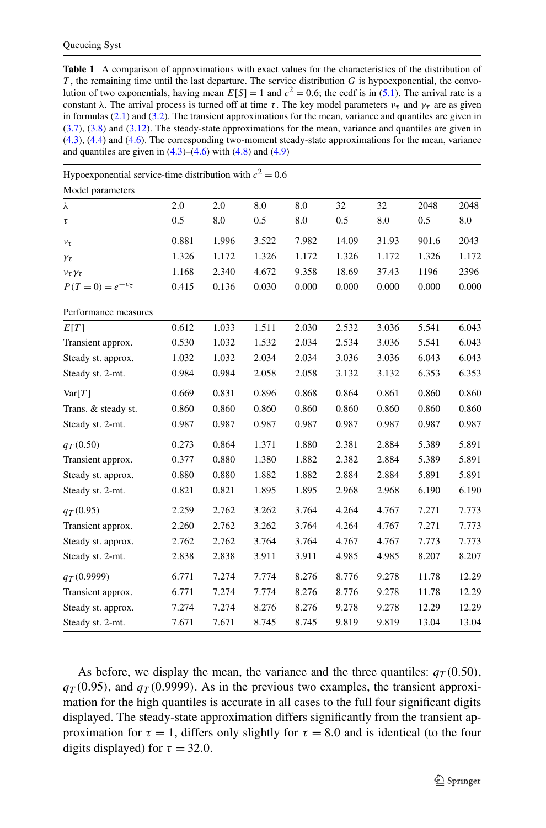<span id="page-20-0"></span>**Table 1** A comparison of approximations with exact values for the characteristics of the distribution of *T* , the remaining time until the last departure. The service distribution *G* is hypoexponential, the convolution of two exponentials, having mean  $E[S] = 1$  and  $c^2 = 0.6$ ; the ccdf is in [\(5.1](#page-18-0)). The arrival rate is a constant  $\lambda$ . The arrival process is turned off at time  $\tau$ . The key model parameters  $\nu_{\tau}$  and  $\gamma_{\tau}$  are as given in formulas ([2.1\)](#page-3-0) and [\(3.2](#page-7-0)). The transient approximations for the mean, variance and quantiles are given in [\(3.7](#page-7-0)), ([3.8\)](#page-8-0) and [\(3.12](#page-8-0)). The steady-state approximations for the mean, variance and quantiles are given in [\(4.3](#page-12-0)), ([4.4\)](#page-12-0) and ([4.6\)](#page-12-0). The corresponding two-moment steady-state approximations for the mean, variance and quantiles are given in  $(4.3)$  $(4.3)$ – $(4.6)$  $(4.6)$  with  $(4.8)$  $(4.8)$  and  $(4.9)$  $(4.9)$ 

| Hypoexponential service-time distribution with $c^2 = 0.6$ |       |       |       |       |       |       |       |       |
|------------------------------------------------------------|-------|-------|-------|-------|-------|-------|-------|-------|
| Model parameters                                           |       |       |       |       |       |       |       |       |
| λ                                                          | 2.0   | 2.0   | 8.0   | 8.0   | 32    | 32    | 2048  | 2048  |
| $\tau$                                                     | 0.5   | 8.0   | 0.5   | 8.0   | 0.5   | 8.0   | 0.5   | 8.0   |
| $v_{\tau}$                                                 | 0.881 | 1.996 | 3.522 | 7.982 | 14.09 | 31.93 | 901.6 | 2043  |
| $\gamma_{\tau}$                                            | 1.326 | 1.172 | 1.326 | 1.172 | 1.326 | 1.172 | 1.326 | 1.172 |
| $v_{\tau}\gamma_{\tau}$                                    | 1.168 | 2.340 | 4.672 | 9.358 | 18.69 | 37.43 | 1196  | 2396  |
| $P(T = 0) = e^{-v_{\tau}}$                                 | 0.415 | 0.136 | 0.030 | 0.000 | 0.000 | 0.000 | 0.000 | 0.000 |
| Performance measures                                       |       |       |       |       |       |       |       |       |
| E[T]                                                       | 0.612 | 1.033 | 1.511 | 2.030 | 2.532 | 3.036 | 5.541 | 6.043 |
| Transient approx.                                          | 0.530 | 1.032 | 1.532 | 2.034 | 2.534 | 3.036 | 5.541 | 6.043 |
| Steady st. approx.                                         | 1.032 | 1.032 | 2.034 | 2.034 | 3.036 | 3.036 | 6.043 | 6.043 |
| Steady st. 2-mt.                                           | 0.984 | 0.984 | 2.058 | 2.058 | 3.132 | 3.132 | 6.353 | 6.353 |
| Var[T]                                                     | 0.669 | 0.831 | 0.896 | 0.868 | 0.864 | 0.861 | 0.860 | 0.860 |
| Trans. & steady st.                                        | 0.860 | 0.860 | 0.860 | 0.860 | 0.860 | 0.860 | 0.860 | 0.860 |
| Steady st. 2-mt.                                           | 0.987 | 0.987 | 0.987 | 0.987 | 0.987 | 0.987 | 0.987 | 0.987 |
| $q_{T}(0.50)$                                              | 0.273 | 0.864 | 1.371 | 1.880 | 2.381 | 2.884 | 5.389 | 5.891 |
| Transient approx.                                          | 0.377 | 0.880 | 1.380 | 1.882 | 2.382 | 2.884 | 5.389 | 5.891 |
| Steady st. approx.                                         | 0.880 | 0.880 | 1.882 | 1.882 | 2.884 | 2.884 | 5.891 | 5.891 |
| Steady st. 2-mt.                                           | 0.821 | 0.821 | 1.895 | 1.895 | 2.968 | 2.968 | 6.190 | 6.190 |
| $q_T(0.95)$                                                | 2.259 | 2.762 | 3.262 | 3.764 | 4.264 | 4.767 | 7.271 | 7.773 |
| Transient approx.                                          | 2.260 | 2.762 | 3.262 | 3.764 | 4.264 | 4.767 | 7.271 | 7.773 |
| Steady st. approx.                                         | 2.762 | 2.762 | 3.764 | 3.764 | 4.767 | 4.767 | 7.773 | 7.773 |
| Steady st. 2-mt.                                           | 2.838 | 2.838 | 3.911 | 3.911 | 4.985 | 4.985 | 8.207 | 8.207 |
| $q_T(0.9999)$                                              | 6.771 | 7.274 | 7.774 | 8.276 | 8.776 | 9.278 | 11.78 | 12.29 |
| Transient approx.                                          | 6.771 | 7.274 | 7.774 | 8.276 | 8.776 | 9.278 | 11.78 | 12.29 |
| Steady st. approx.                                         | 7.274 | 7.274 | 8.276 | 8.276 | 9.278 | 9.278 | 12.29 | 12.29 |
| Steady st. 2-mt.                                           | 7.671 | 7.671 | 8.745 | 8.745 | 9.819 | 9.819 | 13.04 | 13.04 |

As before, we display the mean, the variance and the three quantiles:  $q_T(0.50)$ ,  $q_T(0.95)$ , and  $q_T(0.9999)$ . As in the previous two examples, the transient approximation for the high quantiles is accurate in all cases to the full four significant digits displayed. The steady-state approximation differs significantly from the transient approximation for  $\tau = 1$ , differs only slightly for  $\tau = 8.0$  and is identical (to the four digits displayed) for  $\tau = 32.0$ .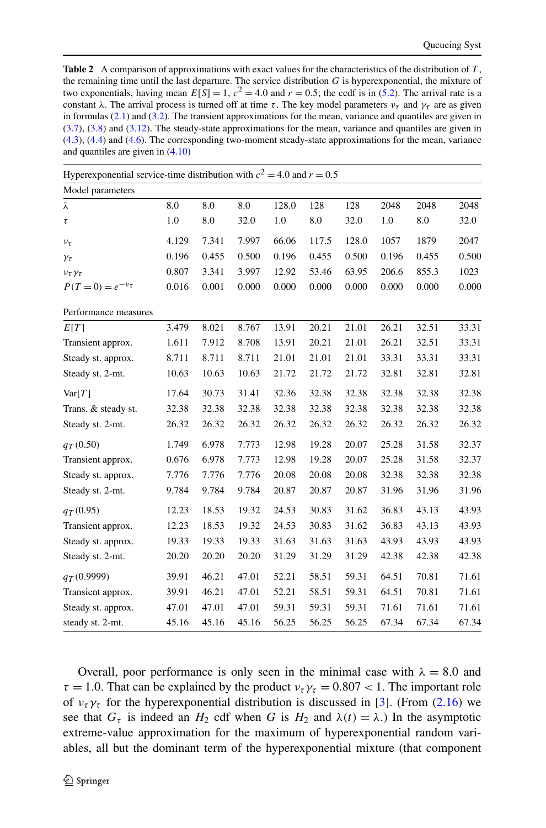<span id="page-21-0"></span>**Table 2** A comparison of approximations with exact values for the characteristics of the distribution of *T* , the remaining time until the last departure. The service distribution *G* is hyperexponential, the mixture of two exponentials, having mean  $E[S] = 1$ ,  $c^2 = 4.0$  and  $r = 0.5$ ; the ccdf is in ([5.2\)](#page-18-0). The arrival rate is a constant *λ*. The arrival process is turned off at time  $\tau$ . The key model parameters  $\nu_{\tau}$  and  $\gamma_{\tau}$  are as given in formulas ([2.1\)](#page-3-0) and [\(3.2](#page-7-0)). The transient approximations for the mean, variance and quantiles are given in [\(3.7](#page-7-0)), ([3.8\)](#page-8-0) and [\(3.12](#page-8-0)). The steady-state approximations for the mean, variance and quantiles are given in [\(4.3](#page-12-0)), ([4.4\)](#page-12-0) and ([4.6\)](#page-12-0). The corresponding two-moment steady-state approximations for the mean, variance and quantiles are given in [\(4.10\)](#page-13-0)

| Hyperexponential service-time distribution with $c^2 = 4.0$ and $r = 0.5$ |       |       |       |       |       |       |       |       |       |
|---------------------------------------------------------------------------|-------|-------|-------|-------|-------|-------|-------|-------|-------|
| Model parameters                                                          |       |       |       |       |       |       |       |       |       |
| λ                                                                         | 8.0   | 8.0   | 8.0   | 128.0 | 128   | 128   | 2048  | 2048  | 2048  |
| τ                                                                         | 1.0   | 8.0   | 32.0  | 1.0   | 8.0   | 32.0  | 1.0   | 8.0   | 32.0  |
| $v_{\tau}$                                                                | 4.129 | 7.341 | 7.997 | 66.06 | 117.5 | 128.0 | 1057  | 1879  | 2047  |
| $\gamma_{\tau}$                                                           | 0.196 | 0.455 | 0.500 | 0.196 | 0.455 | 0.500 | 0.196 | 0.455 | 0.500 |
| $v_{\tau}\gamma_{\tau}$                                                   | 0.807 | 3.341 | 3.997 | 12.92 | 53.46 | 63.95 | 206.6 | 855.3 | 1023  |
| $P(T = 0) = e^{-v_{\tau}}$                                                | 0.016 | 0.001 | 0.000 | 0.000 | 0.000 | 0.000 | 0.000 | 0.000 | 0.000 |
| Performance measures                                                      |       |       |       |       |       |       |       |       |       |
| E[T]                                                                      | 3.479 | 8.021 | 8.767 | 13.91 | 20.21 | 21.01 | 26.21 | 32.51 | 33.31 |
| Transient approx.                                                         | 1.611 | 7.912 | 8.708 | 13.91 | 20.21 | 21.01 | 26.21 | 32.51 | 33.31 |
| Steady st. approx.                                                        | 8.711 | 8.711 | 8.711 | 21.01 | 21.01 | 21.01 | 33.31 | 33.31 | 33.31 |
| Steady st. 2-mt.                                                          | 10.63 | 10.63 | 10.63 | 21.72 | 21.72 | 21.72 | 32.81 | 32.81 | 32.81 |
| Var[T]                                                                    | 17.64 | 30.73 | 31.41 | 32.36 | 32.38 | 32.38 | 32.38 | 32.38 | 32.38 |
| Trans. & steady st.                                                       | 32.38 | 32.38 | 32.38 | 32.38 | 32.38 | 32.38 | 32.38 | 32.38 | 32.38 |
| Steady st. 2-mt.                                                          | 26.32 | 26.32 | 26.32 | 26.32 | 26.32 | 26.32 | 26.32 | 26.32 | 26.32 |
| $q_{T}(0.50)$                                                             | 1.749 | 6.978 | 7.773 | 12.98 | 19.28 | 20.07 | 25.28 | 31.58 | 32.37 |
| Transient approx.                                                         | 0.676 | 6.978 | 7.773 | 12.98 | 19.28 | 20.07 | 25.28 | 31.58 | 32.37 |
| Steady st. approx.                                                        | 7.776 | 7.776 | 7.776 | 20.08 | 20.08 | 20.08 | 32.38 | 32.38 | 32.38 |
| Steady st. 2-mt.                                                          | 9.784 | 9.784 | 9.784 | 20.87 | 20.87 | 20.87 | 31.96 | 31.96 | 31.96 |
| $q_T(0.95)$                                                               | 12.23 | 18.53 | 19.32 | 24.53 | 30.83 | 31.62 | 36.83 | 43.13 | 43.93 |
| Transient approx.                                                         | 12.23 | 18.53 | 19.32 | 24.53 | 30.83 | 31.62 | 36.83 | 43.13 | 43.93 |
| Steady st. approx.                                                        | 19.33 | 19.33 | 19.33 | 31.63 | 31.63 | 31.63 | 43.93 | 43.93 | 43.93 |
| Steady st. 2-mt.                                                          | 20.20 | 20.20 | 20.20 | 31.29 | 31.29 | 31.29 | 42.38 | 42.38 | 42.38 |
| $q_T(0.9999)$                                                             | 39.91 | 46.21 | 47.01 | 52.21 | 58.51 | 59.31 | 64.51 | 70.81 | 71.61 |
| Transient approx.                                                         | 39.91 | 46.21 | 47.01 | 52.21 | 58.51 | 59.31 | 64.51 | 70.81 | 71.61 |
| Steady st. approx.                                                        | 47.01 | 47.01 | 47.01 | 59.31 | 59.31 | 59.31 | 71.61 | 71.61 | 71.61 |
| steady st. 2-mt.                                                          | 45.16 | 45.16 | 45.16 | 56.25 | 56.25 | 56.25 | 67.34 | 67.34 | 67.34 |

Overall, poor performance is only seen in the minimal case with  $\lambda = 8.0$  and  $\tau = 1.0$ . That can be explained by the product  $v_\tau \gamma_\tau = 0.807 < 1$ . The important role of  $v_\tau \gamma_\tau$  for the hyperexponential distribution is discussed in [\[3](#page-27-0)]. (From ([2.16\)](#page-6-0) we see that  $G_{\tau}$  is indeed an  $H_2$  cdf when *G* is  $H_2$  and  $\lambda(t) = \lambda$ .) In the asymptotic extreme-value approximation for the maximum of hyperexponential random variables, all but the dominant term of the hyperexponential mixture (that component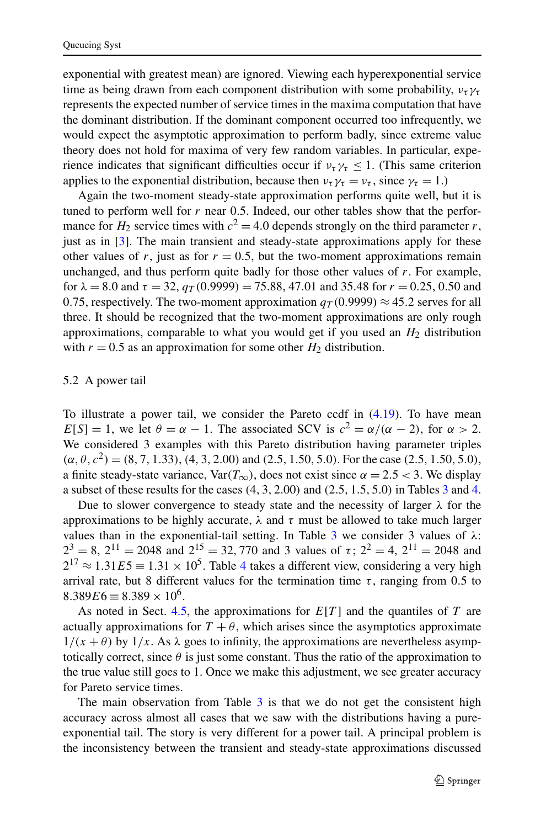exponential with greatest mean) are ignored. Viewing each hyperexponential service time as being drawn from each component distribution with some probability,  $v_\tau \gamma_\tau$ represents the expected number of service times in the maxima computation that have the dominant distribution. If the dominant component occurred too infrequently, we would expect the asymptotic approximation to perform badly, since extreme value theory does not hold for maxima of very few random variables. In particular, experience indicates that significant difficulties occur if  $v_\tau \gamma_\tau \leq 1$ . (This same criterion applies to the exponential distribution, because then  $v_\tau \gamma_\tau = v_\tau$ , since  $\gamma_\tau = 1$ .)

Again the two-moment steady-state approximation performs quite well, but it is tuned to perform well for *r* near 0*.*5. Indeed, our other tables show that the performance for  $H_2$  service times with  $c^2 = 4.0$  depends strongly on the third parameter *r*, just as in [[3\]](#page-27-0). The main transient and steady-state approximations apply for these other values of  $r$ , just as for  $r = 0.5$ , but the two-moment approximations remain unchanged, and thus perform quite badly for those other values of *r*. For example, for  $\lambda = 8.0$  and  $\tau = 32$ ,  $q_T(0.9999) = 75.88$ , 47.01 and 35.48 for  $r = 0.25$ , 0.50 and 0.75, respectively. The two-moment approximation  $q_T(0.9999) \approx 45.2$  serves for all three. It should be recognized that the two-moment approximations are only rough approximations, comparable to what you would get if you used an  $H_2$  distribution with  $r = 0.5$  as an approximation for some other  $H_2$  distribution.

### 5.2 A power tail

To illustrate a power tail, we consider the Pareto ccdf in  $(4.19)$  $(4.19)$ . To have mean *E*[*S*] = 1, we let  $\theta = \alpha - 1$ . The associated SCV is  $c^2 = \alpha/(\alpha - 2)$ , for  $\alpha > 2$ . We considered 3 examples with this Pareto distribution having parameter triples  $(\alpha, \theta, c^2) = (8, 7, 1.33), (4, 3, 2.00)$  and (2.5, 1.50, 5.0). For the case (2.5, 1.50, 5.0), a finite steady-state variance,  $Var(T_\infty)$ , does not exist since  $\alpha = 2.5 < 3$ . We display a subset of these results for the cases *(*4*,* 3*,* 2*.*00*)* and *(*2*.*5*,* 1*.*5*,* 5*.*0*)* in Tables [3](#page-23-0) and [4](#page-24-0).

Due to slower convergence to steady state and the necessity of larger  $\lambda$  for the approximations to be highly accurate, *λ* and *τ* must be allowed to take much larger values than in the exponential-tail setting. In Table [3](#page-23-0) we consider 3 values of *λ*:  $2^3 = 8$ ,  $2^{11} = 2048$  and  $2^{15} = 32,770$  and 3 values of  $\tau$ ;  $2^2 = 4$ ,  $2^{11} = 2048$  and  $2^{17} \approx 1.31E5 \equiv 1.31 \times 10^5$ . Table [4](#page-24-0) takes a different view, considering a very high arrival rate, but 8 different values for the termination time  $\tau$ , ranging from 0.5 to  $8.389E6 \equiv 8.389 \times 10^6$ .

As noted in Sect. [4.5](#page-14-0), the approximations for *E*[*T* ] and the quantiles of *T* are actually approximations for  $T + \theta$ , which arises since the asymptotics approximate  $1/(x + \theta)$  by  $1/x$ . As  $\lambda$  goes to infinity, the approximations are nevertheless asymptotically correct, since  $\theta$  is just some constant. Thus the ratio of the approximation to the true value still goes to 1. Once we make this adjustment, we see greater accuracy for Pareto service times.

The main observation from Table  $3$  is that we do not get the consistent high accuracy across almost all cases that we saw with the distributions having a pureexponential tail. The story is very different for a power tail. A principal problem is the inconsistency between the transient and steady-state approximations discussed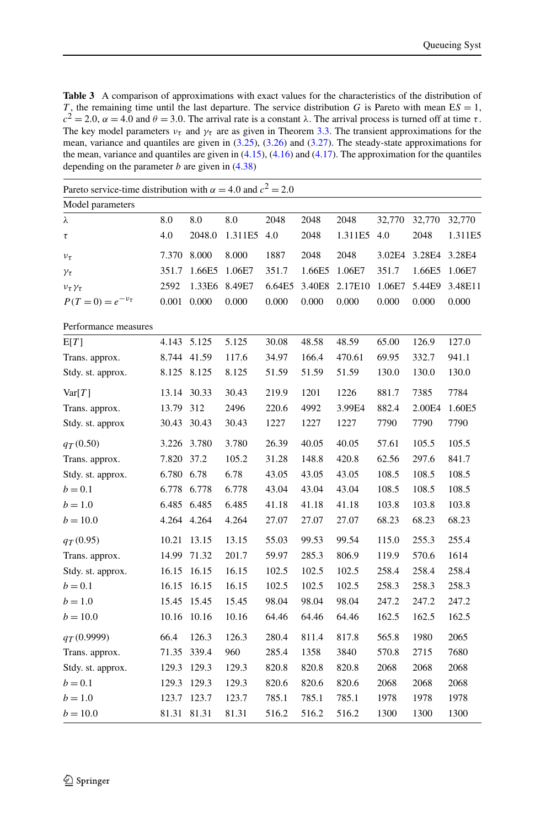<span id="page-23-0"></span>**Table 3** A comparison of approximations with exact values for the characteristics of the distribution of *T*, the remaining time until the last departure. The service distribution *G* is Pareto with mean  $ES = 1$ , *c*<sup>2</sup> = 2.0,  $\alpha$  = 4.0 and  $\theta$  = 3.0. The arrival rate is a constant *λ*. The arrival process is turned off at time *τ*. The key model parameters  $v_{\tau}$  and  $\gamma_{\tau}$  are as given in Theorem [3.3](#page-9-0). The transient approximations for the mean, variance and quantiles are given in ([3.25\)](#page-10-0), [\(3.26](#page-10-0)) and [\(3.27](#page-10-0)). The steady-state approximations for the mean, variance and quantiles are given in ([4.15\)](#page-14-0), ([4.16\)](#page-14-0) and ([4.17\)](#page-14-0). The approximation for the quantiles depending on the parameter *b* are given in ([4.38\)](#page-17-0)

| Pareto service-time distribution with $\alpha = 4.0$ and $c^2 = 2.0$ |             |             |         |        |        |         |        |        |         |
|----------------------------------------------------------------------|-------------|-------------|---------|--------|--------|---------|--------|--------|---------|
| Model parameters                                                     |             |             |         |        |        |         |        |        |         |
| λ                                                                    | 8.0         | 8.0         | 8.0     | 2048   | 2048   | 2048    | 32,770 | 32,770 | 32,770  |
| τ                                                                    | 4.0         | 2048.0      | 1.311E5 | 4.0    | 2048   | 1.311E5 | 4.0    | 2048   | 1.311E5 |
| $v_{\tau}$                                                           | 7.370       | 8.000       | 8.000   | 1887   | 2048   | 2048    | 3.02E4 | 3.28E4 | 3.28E4  |
| γτ                                                                   | 351.7       | 1.66E5      | 1.06E7  | 351.7  | 1.66E5 | 1.06E7  | 351.7  | 1.66E5 | 1.06E7  |
| $v_{\tau}\gamma_{\tau}$                                              | 2592        | 1.33E6      | 8.49E7  | 6.64E5 | 3.40E8 | 2.17E10 | 1.06E7 | 5.44E9 | 3.48E11 |
| $P(T = 0) = e^{-v_{\tau}}$                                           | 0.001       | 0.000       | 0.000   | 0.000  | 0.000  | 0.000   | 0.000  | 0.000  | 0.000   |
| Performance measures                                                 |             |             |         |        |        |         |        |        |         |
| E[T]                                                                 | 4.143       | 5.125       | 5.125   | 30.08  | 48.58  | 48.59   | 65.00  | 126.9  | 127.0   |
| Trans. approx.                                                       |             | 8.744 41.59 | 117.6   | 34.97  | 166.4  | 470.61  | 69.95  | 332.7  | 941.1   |
| Stdy. st. approx.                                                    | 8.125       | 8.125       | 8.125   | 51.59  | 51.59  | 51.59   | 130.0  | 130.0  | 130.0   |
| Var[T]                                                               |             | 13.14 30.33 | 30.43   | 219.9  | 1201   | 1226    | 881.7  | 7385   | 7784    |
| Trans. approx.                                                       | 13.79       | 312         | 2496    | 220.6  | 4992   | 3.99E4  | 882.4  | 2.00E4 | 1.60E5  |
| Stdy. st. approx                                                     | 30.43       | 30.43       | 30.43   | 1227   | 1227   | 1227    | 7790   | 7790   | 7790    |
| $q_{T}(0.50)$                                                        | 3.226       | 3.780       | 3.780   | 26.39  | 40.05  | 40.05   | 57.61  | 105.5  | 105.5   |
| Trans. approx.                                                       | 7.820       | 37.2        | 105.2   | 31.28  | 148.8  | 420.8   | 62.56  | 297.6  | 841.7   |
| Stdy. st. approx.                                                    | 6.780 6.78  |             | 6.78    | 43.05  | 43.05  | 43.05   | 108.5  | 108.5  | 108.5   |
| $b = 0.1$                                                            |             | 6.778 6.778 | 6.778   | 43.04  | 43.04  | 43.04   | 108.5  | 108.5  | 108.5   |
| $b = 1.0$                                                            | 6.485 6.485 |             | 6.485   | 41.18  | 41.18  | 41.18   | 103.8  | 103.8  | 103.8   |
| $b = 10.0$                                                           | 4.264 4.264 |             | 4.264   | 27.07  | 27.07  | 27.07   | 68.23  | 68.23  | 68.23   |
| $q_T(0.95)$                                                          | 10.21       | 13.15       | 13.15   | 55.03  | 99.53  | 99.54   | 115.0  | 255.3  | 255.4   |
| Trans. approx.                                                       | 14.99       | 71.32       | 201.7   | 59.97  | 285.3  | 806.9   | 119.9  | 570.6  | 1614    |
| Stdy. st. approx.                                                    | 16.15       | 16.15       | 16.15   | 102.5  | 102.5  | 102.5   | 258.4  | 258.4  | 258.4   |
| $b = 0.1$                                                            | 16.15       | 16.15       | 16.15   | 102.5  | 102.5  | 102.5   | 258.3  | 258.3  | 258.3   |
| $b = 1.0$                                                            | 15.45       | 15.45       | 15.45   | 98.04  | 98.04  | 98.04   | 247.2  | 247.2  | 247.2   |
| $b = 10.0$                                                           | 10.16       | 10.16       | 10.16   | 64.46  | 64.46  | 64.46   | 162.5  | 162.5  | 162.5   |
| $q_T(0.9999)$                                                        | 66.4        | 126.3       | 126.3   | 280.4  | 811.4  | 817.8   | 565.8  | 1980   | 2065    |
| Trans. approx.                                                       | 71.35       | 339.4       | 960     | 285.4  | 1358   | 3840    | 570.8  | 2715   | 7680    |
| Stdy. st. approx.                                                    | 129.3       | 129.3       | 129.3   | 820.8  | 820.8  | 820.8   | 2068   | 2068   | 2068    |
| $b = 0.1$                                                            | 129.3       | 129.3       | 129.3   | 820.6  | 820.6  | 820.6   | 2068   | 2068   | 2068    |
| $b = 1.0$                                                            | 123.7       | 123.7       | 123.7   | 785.1  | 785.1  | 785.1   | 1978   | 1978   | 1978    |
| $b = 10.0$                                                           | 81.31       | 81.31       | 81.31   | 516.2  | 516.2  | 516.2   | 1300   | 1300   | 1300    |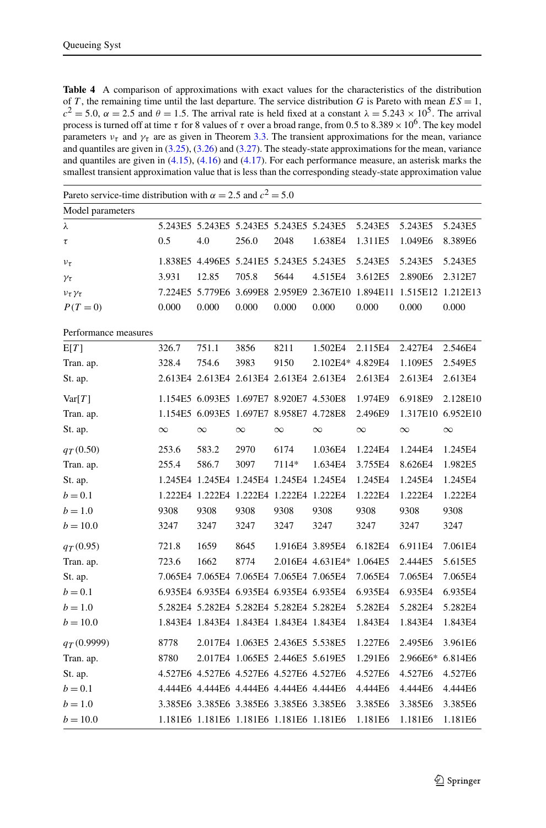<span id="page-24-0"></span>**Table 4** A comparison of approximations with exact values for the characteristics of the distribution of *T*, the remaining time until the last departure. The service distribution *G* is Pareto with mean  $ES = 1$ ,  $c^{2} = 5.0$ ,  $\alpha = 2.5$  and  $\theta = 1.5$ . The arrival rate is held fixed at a constant  $\lambda = 5.243 \times 10^{5}$ . The arrival process is turned off at time *τ* for 8 values of *τ* over a broad range, from 0*.*5 to 8*.*389×106. The key model parameters  $v<sub>\tau</sub>$  and  $\gamma<sub>\tau</sub>$  are as given in Theorem [3.3](#page-9-0). The transient approximations for the mean, variance and quantiles are given in ([3.25](#page-10-0)), [\(3.26](#page-10-0)) and ([3.27\)](#page-10-0). The steady-state approximations for the mean, variance and quantiles are given in ([4.15\)](#page-14-0), [\(4.16](#page-14-0)) and [\(4.17](#page-14-0)). For each performance measure, an asterisk marks the smallest transient approximation value that is less than the corresponding steady-state approximation value

| Pareto service-time distribution with $\alpha = 2.5$ and $c^2 = 5.0$ |          |                                         |                                 |          |                                     |          |          |                   |
|----------------------------------------------------------------------|----------|-----------------------------------------|---------------------------------|----------|-------------------------------------|----------|----------|-------------------|
| Model parameters                                                     |          |                                         |                                 |          |                                     |          |          |                   |
| λ                                                                    |          | 5.243E5 5.243E5 5.243E5 5.243E5 5.243E5 |                                 |          |                                     | 5.243E5  | 5.243E5  | 5.243E5           |
| $\tau$                                                               | 0.5      | 4.0                                     | 256.0                           | 2048     | 1.638E4                             | 1.311E5  | 1.049E6  | 8.389E6           |
| $v_{\tau}$                                                           |          | 1.838E5 4.496E5 5.241E5 5.243E5         |                                 |          | 5.243E5                             | 5.243E5  | 5.243E5  | 5.243E5           |
| $\gamma_{\tau}$                                                      | 3.931    | 12.85                                   | 705.8                           | 5644     | 4.515E4                             | 3.612E5  | 2.890E6  | 2.312E7           |
| $v_{\tau}\gamma_{\tau}$                                              |          | 7.224E5 5.779E6 3.699E8 2.959E9         |                                 |          | 2.367E10 1.894E11 1.515E12 1.212E13 |          |          |                   |
| $P(T=0)$                                                             | 0.000    | 0.000                                   | 0.000                           | 0.000    | 0.000                               | 0.000    | 0.000    | 0.000             |
| Performance measures                                                 |          |                                         |                                 |          |                                     |          |          |                   |
| E[T]                                                                 | 326.7    | 751.1                                   | 3856                            | 8211     | 1.502E4                             | 2.115E4  | 2.427E4  | 2.546E4           |
| Tran. ap.                                                            | 328.4    | 754.6                                   | 3983                            | 9150     | 2.102E4*                            | 4.829E4  | 1.109E5  | 2.549E5           |
| St. ap.                                                              |          | 2.613E4 2.613E4 2.613E4 2.613E4 2.613E4 |                                 |          |                                     | 2.613E4  | 2.613E4  | 2.613E4           |
| Var[T]                                                               |          | 1.154E5 6.093E5 1.697E7 8.920E7 4.530E8 |                                 |          |                                     | 1.974E9  | 6.918E9  | 2.128E10          |
| Tran. ap.                                                            |          | 1.154E5 6.093E5 1.697E7 8.958E7 4.728E8 |                                 |          |                                     | 2.496E9  |          | 1.317E10 6.952E10 |
| St. ap.                                                              | $\infty$ | $\infty$                                | $\infty$                        | $\infty$ | $\infty$                            | $\infty$ | $\infty$ | $\infty$          |
| $q_{T}(0.50)$                                                        | 253.6    | 583.2                                   | 2970                            | 6174     | 1.036E4                             | 1.224E4  | 1.244E4  | 1.245E4           |
| Tran. ap.                                                            | 255.4    | 586.7                                   | 3097                            | 7114*    | 1.634E4                             | 3.755E4  | 8.626E4  | 1.982E5           |
| St. ap.                                                              |          | 1.245E4 1.245E4 1.245E4 1.245E4 1.245E4 |                                 |          |                                     | 1.245E4  | 1.245E4  | 1.245E4           |
| $b = 0.1$                                                            |          | 1.222E4 1.222E4 1.222E4 1.222E4 1.222E4 |                                 |          |                                     | 1.222E4  | 1.222E4  | 1.222E4           |
| $b = 1.0$                                                            | 9308     | 9308                                    | 9308                            | 9308     | 9308                                | 9308     | 9308     | 9308              |
| $b = 10.0$                                                           | 3247     | 3247                                    | 3247                            | 3247     | 3247                                | 3247     | 3247     | 3247              |
| $q_T(0.95)$                                                          | 721.8    | 1659                                    | 8645                            |          | 1.916E4 3.895E4                     | 6.182E4  | 6.911E4  | 7.061E4           |
| Tran. ap.                                                            | 723.6    | 1662                                    | 8774                            |          | 2.016E4 4.631E4*                    | 1.064E5  | 2.444E5  | 5.615E5           |
| St. ap.                                                              |          | 7.065E4 7.065E4 7.065E4 7.065E4 7.065E4 |                                 |          |                                     | 7.065E4  | 7.065E4  | 7.065E4           |
| $b = 0.1$                                                            |          | 6.935E4 6.935E4 6.935E4 6.935E4 6.935E4 |                                 |          |                                     | 6.935E4  | 6.935E4  | 6.935E4           |
| $b = 1.0$                                                            |          | 5.282E4 5.282E4 5.282E4 5.282E4 5.282E4 |                                 |          |                                     | 5.282E4  | 5.282E4  | 5.282E4           |
| $b = 10.0$                                                           |          | 1.843E4 1.843E4 1.843E4 1.843E4 1.843E4 |                                 |          |                                     | 1.843E4  | 1.843E4  | 1.843E4           |
| $q_T(0.9999)$                                                        | 8778     |                                         | 2.017E4 1.063E5 2.436E5 5.538E5 |          |                                     | 1.227E6  | 2.495E6  | 3.961E6           |
| Tran. ap.                                                            | 8780     |                                         | 2.017E4 1.065E5 2.446E5 5.619E5 |          |                                     | 1.291E6  | 2.966E6* | 6.814E6           |
| St. ap.                                                              |          | 4.527E6 4.527E6 4.527E6 4.527E6 4.527E6 |                                 |          |                                     | 4.527E6  | 4.527E6  | 4.527E6           |
| $b = 0.1$                                                            |          | 4.444E6 4.444E6 4.444E6 4.444E6 4.444E6 |                                 |          |                                     | 4.444E6  | 4.444E6  | 4.444E6           |
| $b = 1.0$                                                            |          | 3.385E6 3.385E6 3.385E6 3.385E6 3.385E6 |                                 |          |                                     | 3.385E6  | 3.385E6  | 3.385E6           |
| $b = 10.0$                                                           |          | 1.181E6 1.181E6 1.181E6 1.181E6 1.181E6 |                                 |          |                                     | 1.181E6  | 1.181E6  | 1.181E6           |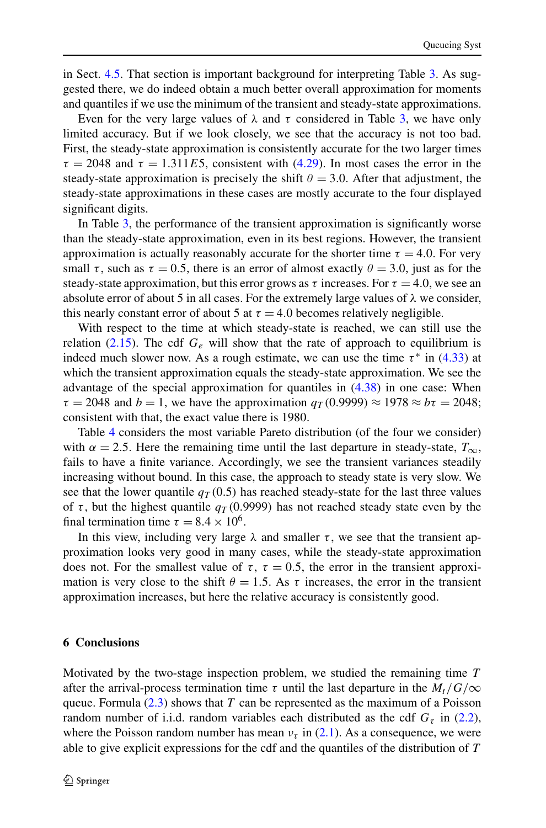<span id="page-25-0"></span>in Sect. [4.5.](#page-14-0) That section is important background for interpreting Table [3.](#page-23-0) As suggested there, we do indeed obtain a much better overall approximation for moments and quantiles if we use the minimum of the transient and steady-state approximations.

Even for the very large values of  $\lambda$  and  $\tau$  considered in Table [3,](#page-23-0) we have only limited accuracy. But if we look closely, we see that the accuracy is not too bad. First, the steady-state approximation is consistently accurate for the two larger times  $\tau = 2048$  and  $\tau = 1.311E5$ , consistent with [\(4.29\)](#page-16-0). In most cases the error in the steady-state approximation is precisely the shift  $\theta = 3.0$ . After that adjustment, the steady-state approximations in these cases are mostly accurate to the four displayed significant digits.

In Table [3,](#page-23-0) the performance of the transient approximation is significantly worse than the steady-state approximation, even in its best regions. However, the transient approximation is actually reasonably accurate for the shorter time  $\tau = 4.0$ . For very small  $\tau$ , such as  $\tau = 0.5$ , there is an error of almost exactly  $\theta = 3.0$ , just as for the steady-state approximation, but this error grows as  $\tau$  increases. For  $\tau = 4.0$ , we see an absolute error of about 5 in all cases. For the extremely large values of *λ* we consider, this nearly constant error of about 5 at  $\tau = 4.0$  becomes relatively negligible.

With respect to the time at which steady-state is reached, we can still use the relation ([2.15\)](#page-6-0). The cdf  $G_e$  will show that the rate of approach to equilibrium is indeed much slower now. As a rough estimate, we can use the time  $\tau^*$  in [\(4.33\)](#page-17-0) at which the transient approximation equals the steady-state approximation. We see the advantage of the special approximation for quantiles in ([4.38](#page-17-0)) in one case: When  $\tau = 2048$  and  $b = 1$ , we have the approximation  $q_T(0.9999) \approx 1978 \approx b\tau = 2048$ ; consistent with that, the exact value there is 1980.

Table [4](#page-24-0) considers the most variable Pareto distribution (of the four we consider) with  $\alpha = 2.5$ . Here the remaining time until the last departure in steady-state,  $T_{\infty}$ , fails to have a finite variance. Accordingly, we see the transient variances steadily increasing without bound. In this case, the approach to steady state is very slow. We see that the lower quantile  $q_T(0.5)$  has reached steady-state for the last three values of *τ* , but the highest quantile *qT (*0*.*9999*)* has not reached steady state even by the final termination time  $\tau = 8.4 \times 10^6$ .

In this view, including very large  $\lambda$  and smaller  $\tau$ , we see that the transient approximation looks very good in many cases, while the steady-state approximation does not. For the smallest value of  $\tau$ ,  $\tau = 0.5$ , the error in the transient approximation is very close to the shift  $\theta = 1.5$ . As  $\tau$  increases, the error in the transient approximation increases, but here the relative accuracy is consistently good.

#### **6 Conclusions**

Motivated by the two-stage inspection problem, we studied the remaining time *T* after the arrival-process termination time  $\tau$  until the last departure in the  $M_t/G/\infty$ queue. Formula [\(2.3\)](#page-4-0) shows that *T* can be represented as the maximum of a Poisson random number of i.i.d. random variables each distributed as the cdf  $G<sub>\tau</sub>$  in [\(2.2\)](#page-4-0), where the Poisson random number has mean  $v<sub>\tau</sub>$  in [\(2.1](#page-3-0)). As a consequence, we were able to give explicit expressions for the cdf and the quantiles of the distribution of *T*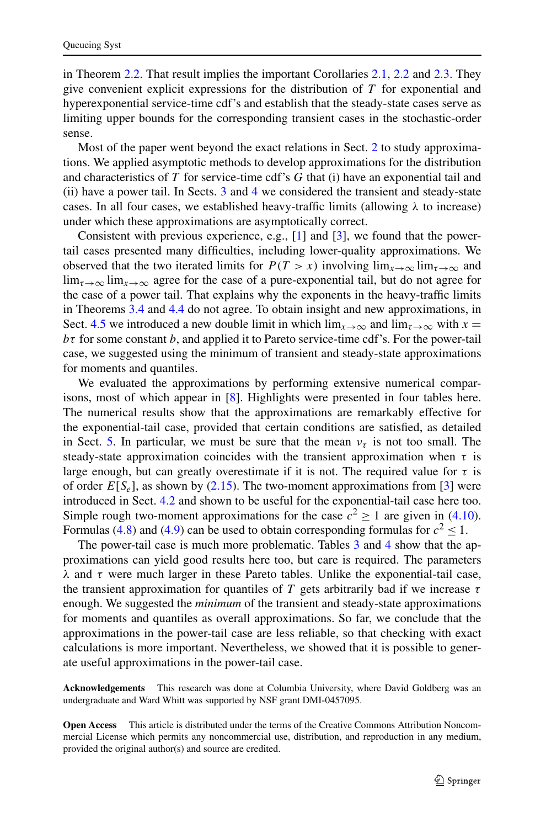in Theorem [2.2.](#page-4-0) That result implies the important Corollaries [2.1,](#page-5-0) [2.2](#page-6-0) and [2.3.](#page-6-0) They give convenient explicit expressions for the distribution of *T* for exponential and hyperexponential service-time cdf's and establish that the steady-state cases serve as limiting upper bounds for the corresponding transient cases in the stochastic-order sense.

Most of the paper went beyond the exact relations in Sect. [2](#page-3-0) to study approximations. We applied asymptotic methods to develop approximations for the distribution and characteristics of *T* for service-time cdf's *G* that (i) have an exponential tail and (ii) have a power tail. In Sects. [3](#page-6-0) and [4](#page-11-0) we considered the transient and steady-state cases. In all four cases, we established heavy-traffic limits (allowing  $\lambda$  to increase) under which these approximations are asymptotically correct.

Consistent with previous experience, e.g.,  $[1]$  $[1]$  and  $[3]$  $[3]$ , we found that the powertail cases presented many difficulties, including lower-quality approximations. We observed that the two iterated limits for  $P(T > x)$  involving  $\lim_{x\to\infty} \lim_{\tau\to\infty}$  and  $\lim_{\tau\to\infty}$  lim<sub> $x\to\infty$ </sub> agree for the case of a pure-exponential tail, but do not agree for the case of a power tail. That explains why the exponents in the heavy-traffic limits in Theorems [3.4](#page-11-0) and [4.4](#page-14-0) do not agree. To obtain insight and new approximations, in Sect. [4.5](#page-14-0) we introduced a new double limit in which  $\lim_{x\to\infty}$  and  $\lim_{x\to\infty}$  with  $x =$ *bτ* for some constant *b*, and applied it to Pareto service-time cdf's. For the power-tail case, we suggested using the minimum of transient and steady-state approximations for moments and quantiles.

We evaluated the approximations by performing extensive numerical comparisons, most of which appear in [[8\]](#page-27-0). Highlights were presented in four tables here. The numerical results show that the approximations are remarkably effective for the exponential-tail case, provided that certain conditions are satisfied, as detailed in Sect. [5.](#page-18-0) In particular, we must be sure that the mean  $v<sub>\tau</sub>$  is not too small. The steady-state approximation coincides with the transient approximation when  $\tau$  is large enough, but can greatly overestimate if it is not. The required value for  $\tau$  is of order  $E[S_e]$ , as shown by ([2.15](#page-6-0)). The two-moment approximations from [\[3](#page-27-0)] were introduced in Sect. [4.2](#page-12-0) and shown to be useful for the exponential-tail case here too. Simple rough two-moment approximations for the case  $c^2 \ge 1$  are given in [\(4.10\)](#page-13-0). Formulas [\(4.8\)](#page-12-0) and ([4.9](#page-13-0)) can be used to obtain corresponding formulas for  $c^2 \leq 1$ .

The power-tail case is much more problematic. Tables [3](#page-23-0) and [4](#page-24-0) show that the approximations can yield good results here too, but care is required. The parameters *λ* and *τ* were much larger in these Pareto tables. Unlike the exponential-tail case, the transient approximation for quantiles of *T* gets arbitrarily bad if we increase *τ* enough. We suggested the *minimum* of the transient and steady-state approximations for moments and quantiles as overall approximations. So far, we conclude that the approximations in the power-tail case are less reliable, so that checking with exact calculations is more important. Nevertheless, we showed that it is possible to generate useful approximations in the power-tail case.

**Acknowledgements** This research was done at Columbia University, where David Goldberg was an undergraduate and Ward Whitt was supported by NSF grant DMI-0457095.

**Open Access** This article is distributed under the terms of the Creative Commons Attribution Noncommercial License which permits any noncommercial use, distribution, and reproduction in any medium, provided the original author(s) and source are credited.